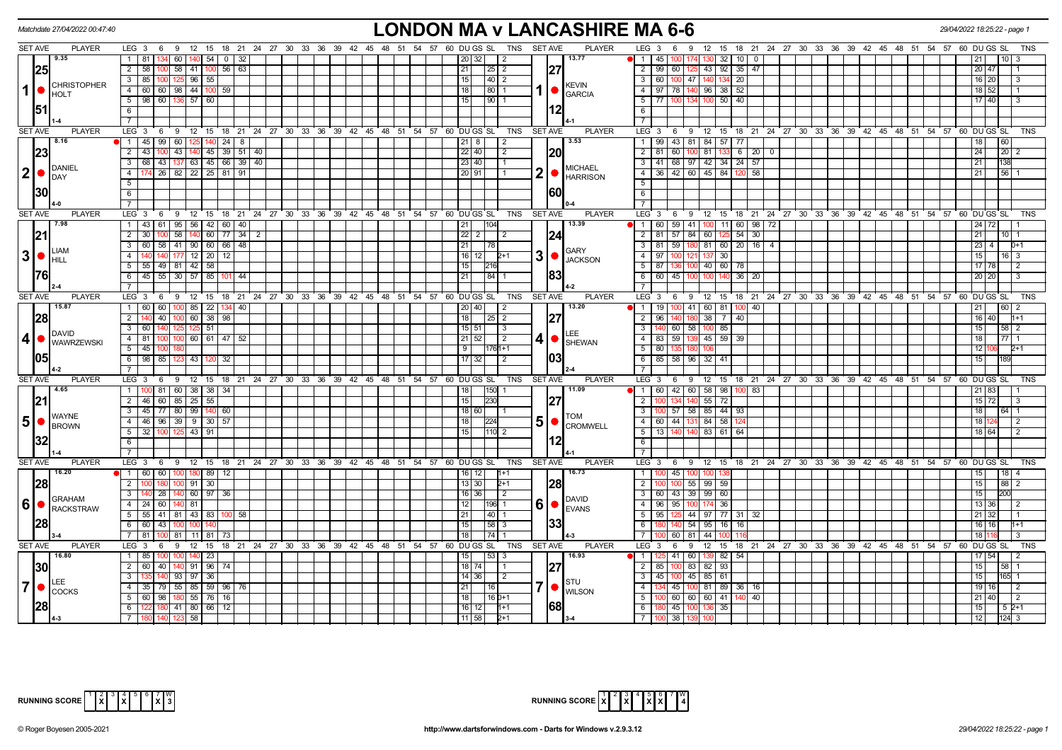| Matchdate 27/04/2022 00:47:40                  | <b>LONDON MA v LANCASHIRE MA 6-6</b>                                                                                                               | 29/04/2022 18:25:22 - page 1                                                                                                     |
|------------------------------------------------|----------------------------------------------------------------------------------------------------------------------------------------------------|----------------------------------------------------------------------------------------------------------------------------------|
| <b>SET AVE</b><br><b>PLAYER</b>                | LEG 3 6 9 12 15 18 21 24 27 30 33 36 39 42 45 48 51 54 57 60 DUGS SL TNS SETAVE                                                                    | <b>PLAYER</b><br>$LEG_36$<br>12 15 18 21 24 27 30 33 36 39 42 45 48 51 54 57 60 DUGS SL<br>9<br><b>TNS</b>                       |
| 19.35                                          | $60$   140   54  <br>1 81<br>0 3 32<br>20 32 <br>2                                                                                                 | 13.77<br>$\blacksquare$<br>45 I<br>$130 \t32 \t10 \t0$<br>100                                                                    |
| 25                                             | $2 \quad 58$<br>58 41 100 56 63<br>21<br>127<br>$25 \mid 2$<br>100                                                                                 | 43 92 35<br>$\overline{2}$<br>99   60<br>47<br>$20 \overline{47}$                                                                |
| <b>CHRISTOPHER</b>                             | $3 \mid 85 \mid$<br>100 125 96 55<br>15<br> 40 2                                                                                                   | 60   100   47   140   134   20<br>$16$ 20<br>$\overline{\mathbf{3}}$<br><b>KEVIN</b>                                             |
| $\mathbf{1}$<br><b>I</b> HOLT                  | $4$ 60 60 98 44 100 59<br>18 I<br>  80   1                                                                                                         | $96$ 38 52<br>$\overline{4}$<br>97 78 140<br>$18$ 52<br><b>GARCIA</b>                                                            |
|                                                | $5$   98   60   136   57   60  <br>15<br> 90 1                                                                                                     | 5<br>77   100   134   100   50   40<br>$17 \ 40$                                                                                 |
| 151                                            | 112<br>6                                                                                                                                           | 6                                                                                                                                |
|                                                | $\overline{7}$                                                                                                                                     |                                                                                                                                  |
| <b>SET AVE</b><br><b>PLAYER</b>                | 9 12 15 18 21 24 27 30 33 36 39 42 45 48 51 54 57 60 DUGS SL<br><b>SET AVE</b><br>LEG 3<br>6<br>TNS                                                | <b>PLAYER</b><br>LEG $3 \t6 \t9$<br>12 15 18 21 24 27 30 33 36 39 42 45 48 51 54 57 60 DUGS SL<br>TNS                            |
| 8.16                                           | $99$ 60 125 140 24 8<br>$1 \mid 45$<br>$21 \mid 8$<br>$\vert$ 2                                                                                    | 3.53<br>99 43 81 84 57 77<br>$\overline{1}$<br>18<br>60                                                                          |
| 23                                             | $2 \overline{43}$<br>43   140   45   39   51   40<br>$22$ 40<br> 20 <br>$\sqrt{2}$                                                                 | $\overline{2}$<br>60<br>$81$ 133 6 20 0<br>24<br>$20$   2<br>81                                                                  |
| DANIEL                                         | $3   68   43   137   63   45   66   39   40$<br>23 40 <br>$\vert$ 1                                                                                | 41 68 97 42 34 24 57<br>21<br>$\overline{\mathbf{3}}$<br>138<br><b>MICHAEL</b>                                                   |
| 21 <b>d</b><br>DAY                             | 2<br>174 26 82 22 25 81 91<br>4 I<br>20 91                                                                                                         | 36 42 60 45 84 120<br>56 1<br>$\overline{4}$<br>58<br>21<br><b>HARRISON</b>                                                      |
|                                                | 5                                                                                                                                                  | $5\overline{)}$                                                                                                                  |
| 30                                             | I60I<br>6                                                                                                                                          | 6                                                                                                                                |
|                                                |                                                                                                                                                    | $\overline{7}$                                                                                                                   |
| <b>SET AVE</b><br><b>PLAYER</b><br>7.98        | LEG <sup>3</sup><br>$9 \quad 12$<br>$18$ 21<br>24 27 30 33 36 39<br>42 45 48 51<br>54 57<br>60 DU GS SL<br>TNS<br><b>SET AVE</b><br>6<br>15        | <b>PLAYER</b><br>LEG <sup>3</sup><br>9<br>12 15 18 21 24 27 30 33 36 39 42 45 48 51 54 57 60 DUGS SL<br><b>TNS</b><br>6<br>13.39 |
|                                                | $95 \mid 56 \mid 42 \mid 60 \mid 40$<br>$1 \t 43 \t 61$<br>$\overline{21}$<br>$2 \mid 30 \mid$<br>58   140   60   77   34   2<br>$22$   2  <br>l 2 | 60   59   41   100   11   60   98   72<br>$24$ 72<br>$\sqrt{1}$<br>2   81   57   84   60   125   54   30  <br>21                 |
| 21                                             | 124<br>3   60   58   41   90   60   66   48<br>21<br>78                                                                                            | 10   1<br>81   59   180   81   60   20   16   4<br>$23 \mid 4$<br>$\overline{\mathbf{3}}$<br>$D+1$                               |
| liam<br>30                                     | 3<br>4<br>140 177 12 20 12<br>$16$   12<br>$2+1$                                                                                                   | GARY<br>$\overline{4}$<br>137 30<br>15<br>-97 I<br>16 I 3                                                                        |
| HILL                                           | $5$ 55 49 81 42 58<br>15<br>216                                                                                                                    | <b>JACKSON</b><br>$17$ 78<br>5<br>87 136 100<br>40 60 78                                                                         |
| 1761                                           | 6 45 55 30 57 85 101 44<br> 84 1<br>21                                                                                                             | $60$ 45 100<br>100 140 36<br>6<br>20<br>20 20                                                                                    |
|                                                | $7^{\circ}$                                                                                                                                        | $\overline{7}$                                                                                                                   |
| <b>SET AVE</b><br><b>PLAYER</b>                | LEG <sub>3</sub><br>9 12 15 18 21 24 27 30 33 36 39 42 45 48 51<br>54 57 60 DU GS SL<br><b>TNS</b><br><b>SET AVE</b><br>6                          | <b>PLAYER</b><br>LEG <sup>3</sup><br>12 15 18 21 24 27 30 33 36 39 42 45 48 51 54 57 60 DUGS SL<br>6<br><b>TNS</b><br>- 9        |
| 15.87                                          | $100$ 85 $22$<br>$1 \mid 60 \mid$<br>60<br>20 40 <br>134  40<br>2                                                                                  | 13.20<br>100 41<br>60 81<br>11<br>19 <sup>1</sup><br>21<br>40                                                                    |
| 28                                             | 40   100   60   38   98<br>2 140<br>18 <sup>1</sup><br>$25$   2<br>127                                                                             | $\overline{2}$<br>96 140 180<br>$38 \mid 7$<br>16 40<br>-40                                                                      |
|                                                | $3 \mid 60$<br>125 125 51<br>$15$ 51<br>$\overline{\mathbf{3}}$                                                                                    | 140 60 58<br>$\overline{\mathbf{3}}$<br>85<br>15<br>100 <sub>l</sub><br>58 2                                                     |
| <b>DAVID</b><br>$\vert$ 4<br><b>WAWRZEWSKI</b> | $4 \ 81$<br>100 100 60 61 47 52<br>21   52<br>4 •<br>l 2                                                                                           | LEE<br>$\overline{4}$<br>83 59 139<br>45 59 39<br>18<br>$77$ 1<br><b>SHEWAN</b>                                                  |
|                                                | $5 \t 45 \t 100$<br>1761+1<br>9 <sup>1</sup>                                                                                                       | 5<br>80 135 180<br>$12$ 1                                                                                                        |
| 1051                                           | $6$   98   85   123   43   120<br>1031<br>$\overline{17}$ 32<br>-32<br>2                                                                           | 6<br>85 58 96<br>$32$ 41<br>15                                                                                                   |
|                                                | $\overline{7}$                                                                                                                                     |                                                                                                                                  |
| SET AVE<br><b>PLAYER</b>                       | LEG <sub>3</sub><br>9 12 15 18 21 24 27 30 33 36 39 42 45 48 51<br>54 57 60 DU GS SL<br><b>TNS</b><br><b>SET AVE</b><br>6                          | PLAYER<br>LEG <sub>3</sub><br>12 15 18 21 24 27 30 33 36 39 42 45 48 51 54 57 60 DUGS<br>69<br><b>SL</b><br>TNS                  |
| 4.65                                           | 1   100   81   60   38   38   34  <br>$ 150 $ 1<br>18                                                                                              | 11.09<br>60 42 60 58 98 100 83<br>$\blacksquare$<br>21 83                                                                        |
| 21                                             | 2 46 60 85 25 55<br>15<br>230                                                                                                                      | $55$ 72<br>$\overline{2}$<br>140<br>$15$ $72$                                                                                    |
| <b>WAYNE</b>                                   | 3   45   77   80   99   140   60<br>18 60                                                                                                          | 100 57 58 85 44 93<br>$\overline{\mathbf{3}}$<br>18<br>64 I 1<br><b>TOM</b>                                                      |
| 5 <sub>l</sub><br><b>BROWN</b>                 | 51<br>4 4 46 96 39 9 30 57<br> 224 <br>18                                                                                                          | 60   44   131   84   58   12<br>$\overline{4}$<br>181<br>l 2<br><b>CROMWELL</b>                                                  |
|                                                | 5 32 100 125 43 91<br>15 <sub>l</sub><br>110 2                                                                                                     | 5<br>13 140 140<br>83 61 64<br>18 64                                                                                             |
|                                                | 6                                                                                                                                                  | 6<br>$\overline{7}$                                                                                                              |
| <b>SET AVE</b><br><b>PLAYER</b>                | $\overline{7}$<br>LEG 3 6 9 12 15 18 21 24 27 30 33 36 39 42 45 48 51 54 57 60 DUGS SL<br>TNS<br><b>SET AVE</b>                                    | 12 15 18 21 24 27 30 33 36 39 42 45 48 51 54 57 60 DUGS SL<br><b>PLAYER</b><br>LEG $3 \div 6 \div 9$<br>TNS                      |
| 16.20                                          | 1 60 60<br>100 180 89<br>$\overline{12}$<br>$16$ 12<br>$1 + 1$                                                                                     | 16.73<br>$100$ 45 $100$<br>15<br>$\overline{1}$<br>$18$   4<br>100 $\overline{a}$                                                |
| 28                                             | $100$ 91 $30$<br>2 <sup>1</sup><br>13 30<br>I28I<br>$2+1$                                                                                          | $\overline{2}$<br>100 55 99 59<br>15<br>88 2                                                                                     |
|                                                | 140 60 97<br>$16$ 36<br>3 I<br>28 <sup>1</sup><br>$\sqrt{2}$<br>-36                                                                                | $\overline{\mathbf{3}}$<br>60 43 39 99 60<br>15                                                                                  |
| <b>GRAHAM</b>                                  | 6<br>$4 \mid 24 \mid$<br>60<br>l 81<br>12 <sub>1</sub><br>196 1                                                                                    | <b>DAVID</b><br>$\overline{4}$<br>96 95<br>36<br>13 36                                                                           |
| $ 6 $ $\bullet$ $ $ $\bullet$ $ $ rackstraw    | $81 \mid 43 \mid 83 \mid$<br>5 55<br>41<br>100 58<br>21<br> 40 1                                                                                   | <b>EVANS</b><br>5<br>44 97 77 31<br>95<br>32<br>21 32                                                                            |
| 28                                             | 1331<br>6 60<br>43<br> 58 3<br>15<br>100                                                                                                           | 54<br>$95$ 16<br>6<br>16 16<br>16                                                                                                |
|                                                | $74$   1<br>7   81<br>18                                                                                                                           | $\overline{7}$<br>  81<br>44<br>18 1<br>60 I                                                                                     |
| <b>SET AVE</b><br><b>PLAYER</b>                | LEG <sub>3</sub><br>9 12 15 18 21 24 27 30 33 36 39 42 45 48 51 54 57 60 DUGS SL TNS SETAVE<br>6                                                   | <b>PLAYER</b><br>LEG 3<br>12 15 18 21 24 27 30 33 36 39 42 45 48 51 54 57 60 DUGS SL<br>6<br>9<br><b>TNS</b>                     |
| 16.80                                          | $140$ 23<br>1   85<br>$53$ 3                                                                                                                       | 16.93<br>$25 \mid 41 \mid 60 \mid$<br>l 1<br>82<br>54<br>17 54                                                                   |
| 30                                             | $2 \mid 60$<br>40 140 91 96 74<br>127<br>18   74                                                                                                   | $\overline{2}$<br>85   100   83   82   93<br>15<br>58 I                                                                          |
|                                                | 93   97   36<br>3 I<br>14 36 <br>$\vert 2 \vert$                                                                                                   | $\overline{\mathbf{3}}$<br>45 100 45<br>85 61<br>15<br>165 1                                                                     |
| LEE<br>$\overline{7}$<br><b>COCKS</b>          | 7 ●<br>4 35 79 55 85 59 96 76<br>21<br>16                                                                                                          | <b>STU</b><br>$\overline{4}$<br>134 45 100<br>81 89 36<br>$19$ 16<br>16 I<br>$\overline{2}$<br><b>WILSON</b>                     |
|                                                | $5 \mid 60 \mid 98 \mid 180 \mid 55 \mid 76 \mid 16$<br>$160+1$<br>18                                                                              | 100 60 60 60 41 140<br>40<br>5<br>$21 \overline{40}$<br>$\overline{2}$                                                           |
| 28                                             | 1681<br>6 122 180 41 80 66 12<br>$16$   12  <br>$1+1$                                                                                              | 6<br>180 45 100<br>15<br>136 35<br>$52+1$                                                                                        |
|                                                | 7 180 140 123 58<br>$11 58 $ 2+1                                                                                                                   | $\overline{12}$<br>7   100   38   139<br>$124 \overline{\smash{3}}$<br>100                                                       |



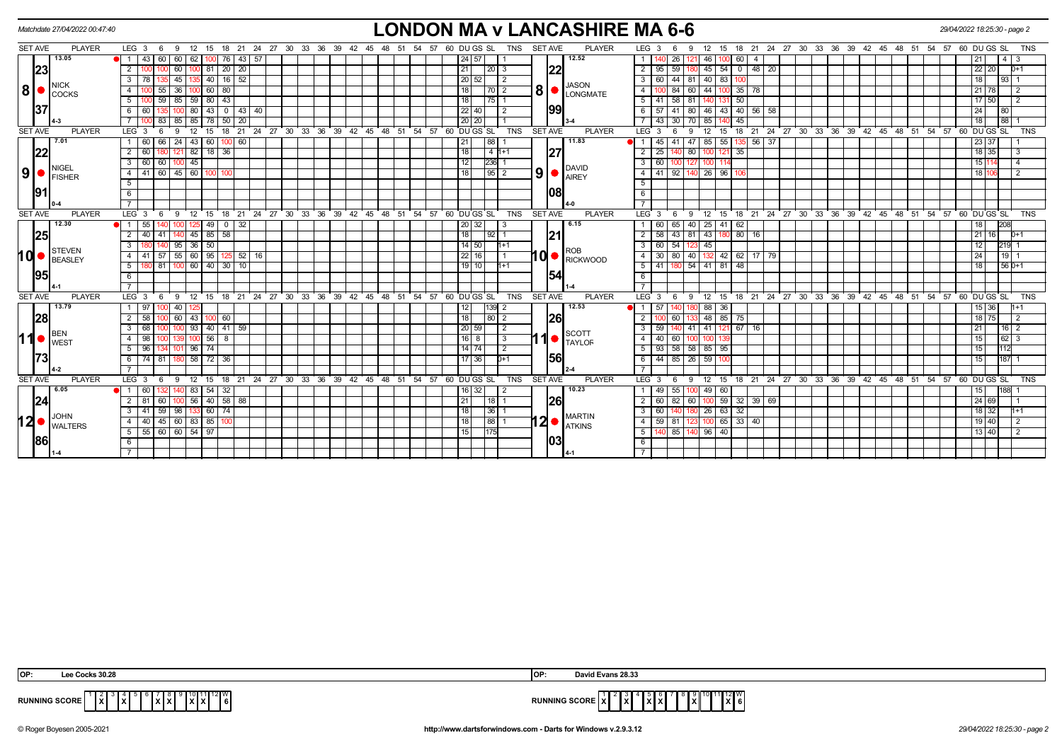|                |    | Matchdate 27/04/2022 00:47:40                           |                                             |     |            |                      |               |                      |               |                   |                                                         |  |                              |  |    |                  |                  |             |                |            |                |     | <b>LONDON MA v LANCASHIRE MA 6-6</b>                                                                                                                                                                                                                                                                                                                                                                                                 |                  |                      |                   |                       |                     |                  |                     |  |  |                                     |            |                                                      |                 |             | 29/04/2022 18:25:30 - page 2 |  |
|----------------|----|---------------------------------------------------------|---------------------------------------------|-----|------------|----------------------|---------------|----------------------|---------------|-------------------|---------------------------------------------------------|--|------------------------------|--|----|------------------|------------------|-------------|----------------|------------|----------------|-----|--------------------------------------------------------------------------------------------------------------------------------------------------------------------------------------------------------------------------------------------------------------------------------------------------------------------------------------------------------------------------------------------------------------------------------------|------------------|----------------------|-------------------|-----------------------|---------------------|------------------|---------------------|--|--|-------------------------------------|------------|------------------------------------------------------|-----------------|-------------|------------------------------|--|
| SET AVE        |    | <b>PLAYER</b>                                           | LEG $3 \quad 6$                             |     | - 9        | 12                   |               |                      |               |                   | 15 18 21 24 27 30 33 36 39 42 45 48 51 54 57 60 DUGS SL |  |                              |  |    |                  |                  |             |                | TNS        | <b>SET AVE</b> |     | <b>PLAYER</b>                                                                                                                                                                                                                                                                                                                                                                                                                        |                  | LEG <sub>3</sub>     |                   | 9                     | 15<br>12            |                  |                     |  |  |                                     |            | 18 21 24 27 30 33 36 39 42 45 48 51 54 57            |                 | 60 DU GS SL | <b>TNS</b>                   |  |
|                |    | 13.05                                                   |                                             | 43  | 60         | 60<br>62             |               | $ 00 $ 76            |               | 43 57             |                                                         |  |                              |  |    |                  | 24 57            |             |                |            |                |     | 12.52                                                                                                                                                                                                                                                                                                                                                                                                                                |                  |                      | 26                |                       | 46                  | 60               | -4                  |  |  |                                     |            |                                                      |                 |             |                              |  |
|                | 23 |                                                         | 2                                           |     |            | 60                   |               | 20                   | 20            |                   |                                                         |  |                              |  |    |                  | 21               |             | 20 3           |            |                | 22  |                                                                                                                                                                                                                                                                                                                                                                                                                                      |                  | 95                   | 59                |                       | 45<br>54            |                  | $0$   48   20       |  |  |                                     |            |                                                      | 22 <sub>1</sub> | 20          | 0+1                          |  |
|                |    |                                                         | 3 <sup>1</sup>                              |     |            | 45                   |               | $140$ 16 52          |               |                   |                                                         |  |                              |  |    |                  | 20 52            |             | l 2            |            |                |     | <b>JASON</b>                                                                                                                                                                                                                                                                                                                                                                                                                         |                  | 60                   | 44                | 81 40                 | 83                  | 100 I            |                     |  |  |                                     |            |                                                      |                 | $93 \mid 1$ |                              |  |
|                |    | <b>NICK</b><br>$8 \nvert \nvert$ $\big _{\text{COCKS}}$ | $\overline{4}$                              |     |            | 36                   |               | 60   80              |               |                   |                                                         |  |                              |  |    |                  | 18               |             | 70   2         |            |                |     | $\mid 8 \mid \bullet \mid_{\text{LONGMATE}}$                                                                                                                                                                                                                                                                                                                                                                                         |                  |                      | 84                | 60 I                  | 44                  |                  | $35 \mid 78$        |  |  |                                     |            |                                                      | 21              |             |                              |  |
|                |    |                                                         | 5 <sub>1</sub>                              |     |            |                      |               | 59 85 59 80 43       |               |                   |                                                         |  |                              |  |    |                  | $\overline{118}$ |             | 75   1         |            |                |     |                                                                                                                                                                                                                                                                                                                                                                                                                                      |                  | $5$ 141              | 58                | 81 I                  | 140 I               | 50               |                     |  |  |                                     |            |                                                      | $17 \, 50$      |             | $\overline{2}$               |  |
|                | 37 |                                                         | 6                                           | 60  |            | 80                   | 43            | $\overline{0}$       |               | 43 40             |                                                         |  |                              |  |    |                  | 22 40            |             | -2             |            |                | 99  |                                                                                                                                                                                                                                                                                                                                                                                                                                      |                  | 57                   | -41               | -80 I                 | 46<br>43            |                  | $40$ 56 58          |  |  |                                     |            |                                                      | 24              | 80          |                              |  |
|                |    |                                                         |                                             |     |            | 85<br>85             |               | 50                   | 20            |                   |                                                         |  |                              |  |    |                  | 20 20            |             |                |            |                |     |                                                                                                                                                                                                                                                                                                                                                                                                                                      |                  | 43                   | 30                |                       | 85                  | 45               |                     |  |  |                                     |            |                                                      | 18              | 88          |                              |  |
| <b>SET AVE</b> |    | <b>PLAYER</b>                                           | LEG <sub>3</sub>                            |     |            | 12                   | 15            | 18                   | ີ 21          |                   | 24 27 30 33 36                                          |  | $39 \t 42 \t 45 \t 48 \t 51$ |  |    | 54 57 60 DUGS SL |                  |             |                | <b>TNS</b> | <b>SET AVE</b> |     | <b>PLAYER</b>                                                                                                                                                                                                                                                                                                                                                                                                                        |                  | LEG <sub>3</sub>     |                   | 9                     | 12<br>15            |                  | $18$ 21             |  |  | $24$ 27 30 33 36 39 42 45           | $48 \t 51$ | 54 57 60 DU GS SL                                    |                 |             | <b>TNS</b>                   |  |
|                |    | 7.01                                                    | 1 60                                        |     | 66         | $24 \mid 43 \mid$    | 60 I          | 100                  | 60            |                   |                                                         |  |                              |  |    |                  | 21               | 88          |                |            |                |     | 11.83                                                                                                                                                                                                                                                                                                                                                                                                                                |                  | 45                   | 41                | 47                    | 85<br>55            |                  | $56 \overline{)37}$ |  |  |                                     |            |                                                      | 23 37           |             |                              |  |
|                | 22 |                                                         | $\overline{2}$                              | 60  |            | 121                  |               | $82$ 18 36           |               |                   |                                                         |  |                              |  |    |                  | 118              |             | $4 h+1$        |            |                | 27  |                                                                                                                                                                                                                                                                                                                                                                                                                                      | 2                | 25                   | 14                | 80                    | 100 121             | 35               |                     |  |  |                                     |            |                                                      | 18 35           |             | -3                           |  |
|                |    | <b>NIGEL</b>                                            | 3                                           | 60  | 60         | 45                   |               |                      |               |                   |                                                         |  |                              |  |    |                  | 12               | 236         |                |            |                |     |                                                                                                                                                                                                                                                                                                                                                                                                                                      | 3 <sup>1</sup>   | 60                   |                   |                       | 100                 |                  |                     |  |  |                                     |            |                                                      |                 |             |                              |  |
| 9 <sup>1</sup> |    | <b>FISHER</b>                                           | 4                                           | 41  |            |                      |               | 60 45 60 100 100     |               |                   |                                                         |  |                              |  |    |                  | <b>18</b>        |             | $95$   2       |            |                |     | $9$ $\bullet$ $P_{\text{AIREY}}$                                                                                                                                                                                                                                                                                                                                                                                                     |                  |                      |                   | 4 41 92 140 26 96     |                     |                  |                     |  |  |                                     |            |                                                      | 18 106          |             | $\overline{2}$               |  |
|                |    |                                                         | 5                                           |     |            |                      |               |                      |               |                   |                                                         |  |                              |  |    |                  |                  |             |                |            |                |     |                                                                                                                                                                                                                                                                                                                                                                                                                                      | 5                |                      |                   |                       |                     |                  |                     |  |  |                                     |            |                                                      |                 |             |                              |  |
|                | 91 |                                                         | 6                                           |     |            |                      |               |                      |               |                   |                                                         |  |                              |  |    |                  |                  |             |                |            |                | 108 |                                                                                                                                                                                                                                                                                                                                                                                                                                      | 6                |                      |                   |                       |                     |                  |                     |  |  |                                     |            |                                                      |                 |             |                              |  |
|                |    |                                                         |                                             |     |            |                      |               |                      |               |                   |                                                         |  |                              |  |    |                  |                  |             |                |            |                |     |                                                                                                                                                                                                                                                                                                                                                                                                                                      |                  |                      |                   |                       |                     |                  |                     |  |  |                                     |            |                                                      |                 |             |                              |  |
| <b>SET AVE</b> |    | <b>PLAYER</b>                                           | LEG <sub>3</sub>                            |     | -9         | 12                   | 15            |                      | $18 \quad 21$ |                   | 24 27 30 33 36 39 42 45 48 51 54 57 60 DUGS SL          |  |                              |  |    |                  |                  |             |                | <b>TNS</b> | <b>SET AVE</b> |     | <b>PLAYER</b>                                                                                                                                                                                                                                                                                                                                                                                                                        | $LEG^{\prime}$ 3 |                      | - 6               | 9                     | $^{\circ}$ 12<br>15 |                  |                     |  |  |                                     |            | 18 21 24 27 30 33 36 39 42 45 48 51 54 57 60 DUGS SL |                 |             | <b>TNS</b>                   |  |
|                |    | 12.30                                                   |                                             | 55  |            |                      | 49            | $\overline{0}$       | 32            |                   |                                                         |  |                              |  |    |                  | 20 32            |             | l 3            |            |                |     | 6.15                                                                                                                                                                                                                                                                                                                                                                                                                                 |                  | 60                   | 65                | $40$ 25 41            |                     | 62               |                     |  |  |                                     |            |                                                      |                 | 208         |                              |  |
|                | 25 |                                                         | $\overline{2}$                              | 40  | 41         |                      |               | $45$ 85 58           |               |                   |                                                         |  |                              |  |    |                  | $\overline{118}$ |             | 9211           |            |                | 21  |                                                                                                                                                                                                                                                                                                                                                                                                                                      | $\overline{2}$   | 58                   | $\overline{1}$ 43 | 81 43 18              |                     | $80$ 16          |                     |  |  |                                     |            |                                                      | 21              | 16          | $D+1$                        |  |
|                |    | STEVEN                                                  | $\overline{\mathbf{3}}$                     |     |            | $95 \mid 36 \mid 50$ |               |                      |               |                   |                                                         |  |                              |  |    |                  | $14$ 50          |             | $h+1$          |            |                |     | <b>ROB</b>                                                                                                                                                                                                                                                                                                                                                                                                                           | -3 I             | $60$ 54              |                   | 123 45                |                     |                  |                     |  |  |                                     |            |                                                      |                 | 219 1       |                              |  |
| <b>d</b>       |    | BEASLEY                                                 | $-4$                                        | -41 | 57         |                      |               | 55 60 95 125         |               | $52$ 16           |                                                         |  |                              |  |    |                  | 22 16            |             |                |            |                |     | $10$ $\bullet$ Rickwood                                                                                                                                                                                                                                                                                                                                                                                                              |                  | 30                   | 80                | 40 132 42 62 17 79    |                     |                  |                     |  |  |                                     |            |                                                      | 24              | 19          |                              |  |
|                |    |                                                         | 5 <sub>1</sub>                              |     | 81         |                      |               | 100 60 40 30 10      |               |                   |                                                         |  |                              |  |    |                  | 19 10            |             | $h+1$          |            |                |     |                                                                                                                                                                                                                                                                                                                                                                                                                                      |                  | $5 \mid 41 \mid 180$ |                   | 54 41 81 48           |                     |                  |                     |  |  |                                     |            |                                                      | 18              | $156D+1$    |                              |  |
|                | 95 |                                                         | 6                                           |     |            |                      |               |                      |               |                   |                                                         |  |                              |  |    |                  |                  |             |                |            |                | 154 |                                                                                                                                                                                                                                                                                                                                                                                                                                      | 6                |                      |                   |                       |                     |                  |                     |  |  |                                     |            |                                                      |                 |             |                              |  |
|                |    |                                                         |                                             |     |            |                      |               |                      |               |                   |                                                         |  |                              |  |    |                  |                  |             |                |            |                |     |                                                                                                                                                                                                                                                                                                                                                                                                                                      |                  |                      |                   |                       |                     |                  |                     |  |  |                                     |            |                                                      |                 |             |                              |  |
| <b>SET AVE</b> |    | <b>PLAYER</b>                                           | LEG <sub>3</sub>                            |     | - 9<br>- 6 |                      |               |                      |               | 12 15 18 21 24 27 | 30 33 36 39 42 45 48                                    |  |                              |  | 51 | 54 57            |                  | 60 DU GS SL |                | <b>TNS</b> | <b>SET AVE</b> |     | <b>PLAYER</b>                                                                                                                                                                                                                                                                                                                                                                                                                        |                  | $LEG \ 3$            | - 6               | 9                     | 12<br>15            |                  |                     |  |  | 18 21 24 27 30 33 36 39 42 45 48 51 |            | 54 57                                                |                 | 60 DU GS SL | <b>TNS</b>                   |  |
|                |    | 13.79                                                   | 1   97                                      |     |            | 40                   |               |                      |               |                   |                                                         |  |                              |  |    |                  | 12               |             | 139 2          |            |                |     | 12.53                                                                                                                                                                                                                                                                                                                                                                                                                                | 11 I             | -57                  |                   |                       | 88<br>- 36          |                  |                     |  |  |                                     |            |                                                      | 15 36           |             | 1+1                          |  |
|                | 28 |                                                         | $\overline{2}$                              | 58  |            |                      |               | 60 43 100 60         |               |                   |                                                         |  |                              |  |    |                  | 18               |             | 80 2           |            |                | 26  |                                                                                                                                                                                                                                                                                                                                                                                                                                      | 2 <sup>1</sup>   |                      | 60                |                       | 48                  | $85 \mid 75$     |                     |  |  |                                     |            |                                                      | 18 75           |             | $\overline{2}$               |  |
|                |    | <b>BEN</b>                                              | 3 <sup>1</sup>                              | 68  |            |                      |               | 100 93 40 41 59      |               |                   |                                                         |  |                              |  |    |                  | 20 59            |             | l 2            |            |                |     | <b>SCOTT</b>                                                                                                                                                                                                                                                                                                                                                                                                                         | $\overline{3}$   | 59                   | 140               | 41 41 121 67 16       |                     |                  |                     |  |  |                                     |            |                                                      | 21              |             | $16\overline{2}$             |  |
|                |    | $\text{11} \bullet \vert_{\text{WEST}}^{\text{ben}}$    | 4                                           | 98  |            | 100                  |               | $156$ 8              |               |                   |                                                         |  |                              |  |    |                  | 16 8             |             | $\sqrt{3}$     |            |                |     | $\left  \uparrow \right $ $\left  \right $ $\left  \right $ $\left  \right $ $\left  \right $ $\left  \right $ $\left  \right $ $\left  \right $ $\left  \right $ $\left  \right $ $\left  \right $ $\left  \right $ $\left  \right $ $\left  \right $ $\left  \right $ $\left  \right $ $\left  \right $ $\left  \right $ $\left  \right $ $\left  \right $ $\left  \right $ $\left  \right $ $\left  \right $ $\left  \right $ $\$ | 4                | 40                   | 60                | 100 I                 | 100                 |                  |                     |  |  |                                     |            |                                                      | 15              | $62 \mid 3$ |                              |  |
|                |    |                                                         | 5                                           | 96  |            | 101                  | $96$ 74       |                      |               |                   |                                                         |  |                              |  |    |                  | $14$ 74          |             | $\overline{2}$ |            |                |     |                                                                                                                                                                                                                                                                                                                                                                                                                                      | -5 I             | 93                   | 58                | 58 85 95              |                     |                  |                     |  |  |                                     |            |                                                      | 15              |             |                              |  |
|                | 73 |                                                         | 6 74 81                                     |     |            |                      |               | 180 58 72 36         |               |                   |                                                         |  |                              |  |    |                  | 17 36            |             | $D+1$          |            |                | 56  |                                                                                                                                                                                                                                                                                                                                                                                                                                      | $6$ 1            | 44                   |                   | 85 26 59 100          |                     |                  |                     |  |  |                                     |            |                                                      | 15              | 187 1       |                              |  |
|                |    |                                                         | $\overline{7}$                              |     |            |                      |               |                      |               |                   |                                                         |  |                              |  |    |                  |                  |             |                |            |                |     |                                                                                                                                                                                                                                                                                                                                                                                                                                      |                  |                      |                   |                       |                     |                  |                     |  |  |                                     |            |                                                      |                 |             |                              |  |
| <b>SET AVE</b> |    | <b>PLAYER</b>                                           | LEG <sub>3</sub>                            |     | - 6<br>-9  |                      | $12 \quad 15$ |                      |               |                   | 18 21 24 27 30 33 36 39 42 45 48 51 54 57 60 DUGS SL    |  |                              |  |    |                  |                  |             |                | <b>TNS</b> | <b>SET AVE</b> |     | <b>PLAYER</b>                                                                                                                                                                                                                                                                                                                                                                                                                        |                  | LEG <sub>3</sub>     | - 6               | 9                     | 12                  |                  |                     |  |  |                                     |            | 15 18 21 24 27 30 33 36 39 42 45 48 51 54 57         |                 | 60 DU GS SL | <b>TNS</b>                   |  |
|                |    | 6.05                                                    |                                             | 60  |            |                      |               | $83 \mid 54 \mid 32$ |               |                   |                                                         |  |                              |  |    |                  | 16 32            |             |                |            |                |     | 10.23                                                                                                                                                                                                                                                                                                                                                                                                                                |                  | 49                   | 55                |                       | 49 60               |                  |                     |  |  |                                     |            |                                                      |                 | 188         |                              |  |
|                | 24 |                                                         | $\overline{2}$                              | 81  | 60         |                      |               | 100 56 40 58 88      |               |                   |                                                         |  |                              |  |    |                  | 21               |             | 18 1           |            |                | 26  |                                                                                                                                                                                                                                                                                                                                                                                                                                      |                  | $2 \mid 60$          |                   | 82 60 100 59 32 39 69 |                     |                  |                     |  |  |                                     |            |                                                      | 24 69           |             |                              |  |
|                |    |                                                         | 3 I                                         | -41 | 59         | 98<br>-133           |               | 60 74                |               |                   |                                                         |  |                              |  |    |                  | 18               |             | 36 1           |            |                |     |                                                                                                                                                                                                                                                                                                                                                                                                                                      |                  | 60                   |                   |                       | 63<br>26            | 32               |                     |  |  |                                     |            |                                                      | 18 32           |             | $1+1$                        |  |
|                |    | $12 \bullet  _{\text{WALTERS}}$                         | 4 4 40 45 60 83 85 100                      |     |            |                      |               |                      |               |                   |                                                         |  |                              |  |    |                  | 18               |             | 88 1           |            |                |     | 12 MARTIN                                                                                                                                                                                                                                                                                                                                                                                                                            | 4 I              | $59$ 81              |                   |                       |                     | 123 100 65 33 40 |                     |  |  |                                     |            |                                                      | 19 40           |             | 2                            |  |
|                |    |                                                         | $5 \mid 55 \mid 60 \mid 60 \mid 54 \mid 97$ |     |            |                      |               |                      |               |                   |                                                         |  |                              |  |    |                  | 15               | 175         |                |            |                |     |                                                                                                                                                                                                                                                                                                                                                                                                                                      | $5 \vert$        |                      |                   | 140 85 140 96 40      |                     |                  |                     |  |  |                                     |            |                                                      | 13 40           |             | $\overline{2}$               |  |
|                | 86 |                                                         | 6                                           |     |            |                      |               |                      |               |                   |                                                         |  |                              |  |    |                  |                  |             |                |            |                | 103 |                                                                                                                                                                                                                                                                                                                                                                                                                                      | 6                |                      |                   |                       |                     |                  |                     |  |  |                                     |            |                                                      |                 |             |                              |  |
|                |    |                                                         | $7\overline{ }$                             |     |            |                      |               |                      |               |                   |                                                         |  |                              |  |    |                  |                  |             |                |            |                |     |                                                                                                                                                                                                                                                                                                                                                                                                                                      |                  |                      |                   |                       |                     |                  |                     |  |  |                                     |            |                                                      |                 |             |                              |  |

| IOP:                 | .                                                                                                                                      | IOP: | <b>David Evans 28.33</b>                                                                                                   |
|----------------------|----------------------------------------------------------------------------------------------------------------------------------------|------|----------------------------------------------------------------------------------------------------------------------------|
| <b>RUNNING SCORE</b> | $\mathbf{x}$ <sup>11</sup> [ <sup>12</sup> ] $\mathbf{x}$ <sup>[12]</sup> $\mathbf{6}$<br>'9∥10∎.<br>'IžI<br>IxIxI<br>IXIXI<br>- I x I |      | $\mathbf{X}^{\text{12}}$<br>.<br>.<br>l v<br>$\overline{\phantom{a}}$<br><b>WINNING SUURE   A J LANG</b><br>IXIXI<br>1 A I |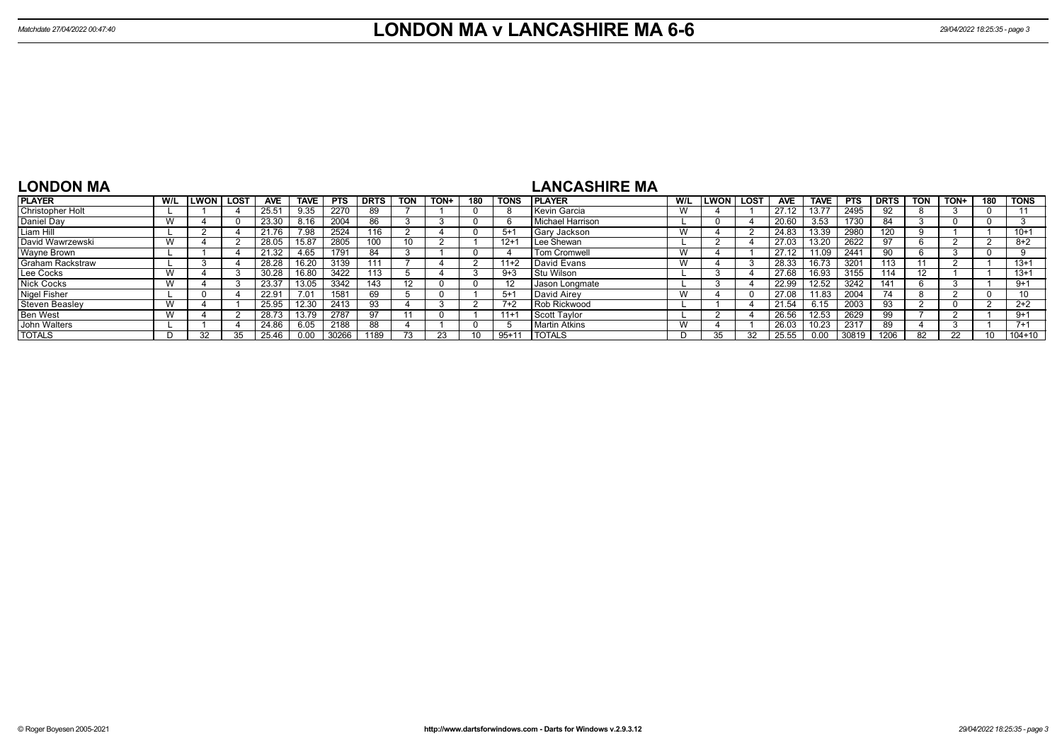| <b>LONDON MA</b>        |     |             |      |            |       |            |             |            |      |     |             |                     |                  |             |                    |             |            |             |                   |      |     |            |
|-------------------------|-----|-------------|------|------------|-------|------------|-------------|------------|------|-----|-------------|---------------------|------------------|-------------|--------------------|-------------|------------|-------------|-------------------|------|-----|------------|
| <b>PLAYER</b>           | W/L | <b>LWON</b> | LOST | <b>AVE</b> | TAVE  | <b>PTS</b> | <b>DRTS</b> | <b>TON</b> | TON+ | 180 | <b>TONS</b> | <b>IPLAYER</b>      | W/L              | LWON   LOST | <b>AVE</b>         | <b>TAVE</b> | <b>PTS</b> | <b>DRTS</b> | TON               | TON+ | 180 | l TONS     |
| <b>Christopher Holt</b> |     |             |      | 25.51      | 9.35  | 2270       |             |            |      |     |             | Kevin Garcia        |                  |             | 27.12              | 13.77       | 2495       |             |                   |      |     |            |
| Daniel Day              |     |             |      | 23.30      | 8.16  | 2004       | 86          |            |      |     |             | Michael Harrison    |                  |             | 20.60              | 3.53        | 1730       | 84          |                   |      |     |            |
| Liam Hill               |     |             |      | 21.76      | 7.98  | 2524       | 116         |            |      |     | $5 + 1$     | Gary Jackson        | $\lambda$<br>v v |             | 24.83              | 13.39       | 2980       | 120         |                   |      |     | $10+1$     |
| David Wawrzewski        |     |             |      | 28.05      | 15.87 | 2805       | 100         | 10         |      |     | $12 +$      | Lee Shewan          |                  |             | 27.03              | 13.20       | 2622       |             |                   |      |     | $8 + 2$    |
| Wayne Brown             |     |             |      | 21.32      | 4.65  | 1791       |             |            |      |     |             | <b>Tom Cromwell</b> | vv               |             | 27.12              | 11.09       | 2441       |             |                   |      |     |            |
| <b>Graham Rackstraw</b> |     |             |      | 28.28      | 16.20 | 3139       | 111         |            |      |     | $11+2$      | David Evans         | W                |             | $28.\overline{33}$ | 16.73       | 3201       | 113         | 11                |      |     | $13+1$     |
| Lee Cocks               | W   |             |      | 30.28      | 16.80 | 3422       | 113         |            |      |     | $9 + 3$     | Stu Wilson          |                  |             | 27.68              | 16.93       | 3155       | 114         | $12 \overline{ }$ |      |     | $13+1$     |
| <b>Nick Cocks</b>       |     |             |      | 23.37      | 13.05 | 3342       | 143         | 12         |      |     | -12         | Jason Longmate      |                  |             | 22.99              | 12.52       | 3242       | 141         |                   |      |     | $9+1$      |
| Nigel Fisher            |     |             |      | 22.91      | 7.01  | 1581       | 69          |            |      |     | $5 + 1$     | David Airev         |                  |             | 27.08              | 11.83       | 2004       | 74          |                   |      |     |            |
| Steven Beasley          |     |             |      | 25.95      | 12.30 | 2413       |             |            |      |     | $7+2$       | Rob Rickwood        |                  |             | 21.54              | 6.15        | 2003       | 93          |                   |      |     | $2+2$      |
| <b>Ben West</b>         |     |             |      | 28.73      | 13.79 | 2787       |             |            |      |     | $11 +$      | Scott Tavlor        |                  |             | 26.56              | 12.53       | 2629       | 99          |                   |      |     | $9+1$      |
| John Walters            |     |             |      | 24.86      | 6.05  | 2188       | 88          |            |      |     |             | Martin Atkins       | $\lambda$<br>v v |             | 26.03              | 10.23       | 2317       | 89          |                   |      |     | $7+1$      |
| <b>TOTALS</b>           |     |             |      | 25.46      | 0.00  | 30266      | 1189        |            |      |     | $95+11$     | <b>I TOTALS</b>     |                  |             | 25.55              | 0.00        | 30819      | 1206        | 82                | 22   |     | $104 + 10$ |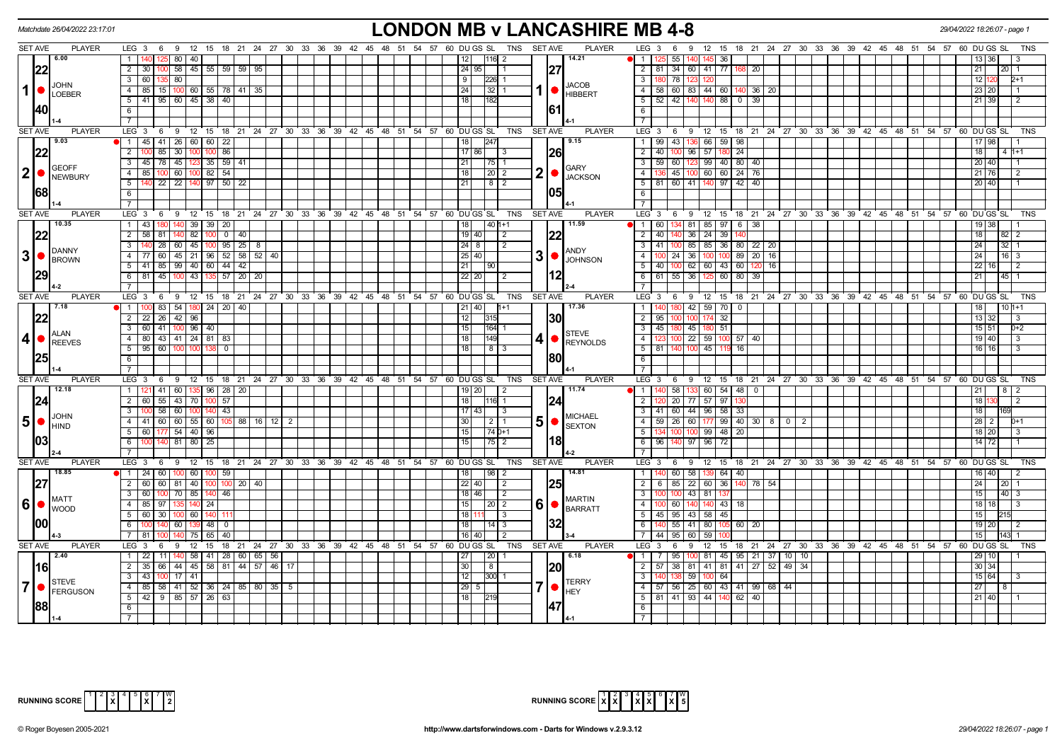|                         | Matchdate 26/04/2022 23:17:01   |                                                                      |                                                              | <b>LONDON MB v LANCASHIRE MB 4-8</b>                                            |                                      |                                                                                             | 29/04/2022 18:26:07 - page 1 |
|-------------------------|---------------------------------|----------------------------------------------------------------------|--------------------------------------------------------------|---------------------------------------------------------------------------------|--------------------------------------|---------------------------------------------------------------------------------------------|------------------------------|
|                         | <b>SET AVE</b><br><b>PLAYER</b> |                                                                      |                                                              | LEG 3 6 9 12 15 18 21 24 27 30 33 36 39 42 45 48 51 54 57 60 DUGS SL TNS SETAVE | <b>PLAYER</b>                        | LEG 3 6 9 12 15 18 21 24 27 30 33 36 39 42 45 48 51 54 57 60 DU GS SL                       |                              |
|                         | 6.00                            | 1 <sup>1</sup><br>$125$ 80 40                                        |                                                              | 12<br>$ 116 $ 2                                                                 | 14.21                                | $\blacksquare$<br>55  <br>36                                                                |                              |
|                         | 22                              | $100$ 58 45 55 59 59 59<br>$2 \mid 30 \mid$                          |                                                              | 24   95                                                                         | 27                                   | $\overline{2}$<br>  81   34   60   41   77   168<br>$\overline{20}$                         | 21<br>20                     |
|                         | <b>JOHN</b>                     | 3 60 135 80                                                          |                                                              | $\overline{9}$<br>$ 226 $ 1                                                     | <b>JACOB</b>                         | $\overline{\mathbf{3}}$<br>180 78 123<br>120                                                | 121<br>$D+1$                 |
| $\mathbf 1$             | LOEBER                          | 4   85   15   100   60   55   78   41   35                           |                                                              | 24<br> 32 1                                                                     | <b>HIBBERT</b>                       | $\overline{4}$<br>58 60 83 44 60 140 36 20                                                  | 23 20                        |
|                         |                                 | $5$   41   95   60   45   38   40                                    |                                                              | 18<br>182                                                                       |                                      | 52 42 140 140 88 0 39<br>5                                                                  | $21 \overline{39}$           |
|                         |                                 | 6                                                                    |                                                              |                                                                                 | 161                                  | 6                                                                                           |                              |
|                         |                                 | $\overline{7}$                                                       |                                                              |                                                                                 |                                      | $\overline{7}$                                                                              |                              |
|                         | <b>SET AVE</b><br><b>PLAYER</b> | LEG 3 6 9 12 15 18 21 24 27 30 33 36 39 42 45 48 51 54 57 60 DUGS SL |                                                              | TNS                                                                             | <b>SET AVE</b><br><b>PLAYER</b>      | LEG 3 6 9 12 15 18 21 24 27 30 33 36 39 42 45 48 51 54 57 60 DUGS SL                        | TNS                          |
|                         | 9.03                            | $\bullet$   1   45   41   26   60   60   22                          |                                                              | 18<br> 247                                                                      | 9.15                                 | 99 43 136 66 59 98<br>$\overline{1}$                                                        | 17 98                        |
|                         | 22                              | $\overline{2}$<br>$100 \t85 \t30$<br>100 100 86                      |                                                              | $17$ 86<br>l 3                                                                  |                                      | $\overline{2}$<br>40 <sup>1</sup><br>100 96<br>57 180<br>$\sqrt{24}$                        | 18<br>$4h+1$                 |
|                         | <b>GEOFF</b>                    | 3 45 78 45 123 35 59 41                                              |                                                              | 21<br>$ 75 $ 1                                                                  | <b>GARY</b>                          | 99 40 80<br>$\overline{\mathbf{3}}$<br>59 60 123<br> 40                                     | 20 40                        |
| $\mathbf{2}$            | NEWBURY                         | 4 85 100 60 100 82 54                                                |                                                              | $\vert$ 20 $\vert$ 2<br>18 <sup>1</sup>                                         | $2  \bullet$<br><b>JACKSON</b>       | 136 45 100 60 60 24 76<br>$\overline{4}$                                                    | 21 76                        |
|                         | <b>68</b>                       | 140 22 22 140 97 50 22<br>5                                          |                                                              | 21<br>  8   2                                                                   |                                      | 5   81   60   41   140   97   42   40                                                       | 20 40                        |
|                         |                                 | 6<br>$\overline{7}$                                                  |                                                              |                                                                                 |                                      | 6<br>$\overline{7}$                                                                         |                              |
|                         | <b>SET AVE</b><br><b>PLAYER</b> | LEG 3<br>ົ 9<br>$^{\circ}$ 12<br>15 18 21<br>6                       | $24$ 27 30<br>33 36 39 42 45 48 51 54 57                     | 60 DU GS SL<br><b>TNS</b>                                                       | <b>SET AVE</b><br><b>PLAYER</b>      | LEG <sup>3</sup><br>12 15<br>18 21 24 27 30 33 36 39 42 45 48 51 54 57 60 DUGS SL<br>6<br>9 | <b>TNS</b>                   |
|                         | 10.35                           | 140 39 39 20<br>$1 \overline{43}$                                    |                                                              | $140$ 1+1<br>18                                                                 | 11.59                                | 134 81 85 97 6 38<br>$\blacksquare$<br>60                                                   | $19$ 38                      |
|                         | 22                              | 2 58 81 140 82 100                                                   |                                                              | $19$ 40<br>$\vert$ 2                                                            | 22                                   | 140 36 24 39<br>$\overline{2}$<br>40                                                        | 18<br>82 2                   |
|                         |                                 | $3 \mid 140 \mid 28 \mid 60 \mid 45 \mid 100 \mid 95 \mid 25 \mid 8$ |                                                              | $\overline{24}$ 8<br>$\overline{2}$                                             |                                      | $41 \overline{100}$ 85 85 36 80 22 20<br>$\overline{\mathbf{3}}$                            | $\overline{24}$<br>$32$   1  |
| 3                       | DANNY                           | 60 45 21 96 52 58 52 40<br>4 I<br>77                                 |                                                              | 25 40                                                                           | ANDY<br>3                            | $24 \mid 36$<br>100 100 89<br>$\overline{4}$<br>$20$ 16                                     | 24<br>16 3                   |
|                         | BROWN                           | $5$   41   85   99   40   60   44   42                               |                                                              | $21$   90                                                                       | <b>JOHNSON</b>                       | 40   100   62   60   43   60<br>5<br>16                                                     | 22   16                      |
|                         |                                 | 6 81 45 100 43 135 57 20 20                                          |                                                              | $22$   20<br>$\sqrt{2}$                                                         |                                      | 61 55 36 125 60 80<br>6<br>39                                                               | 21<br>$45 \mid 1$            |
|                         |                                 | 7 <sup>1</sup>                                                       |                                                              |                                                                                 |                                      | $\overline{7}$                                                                              |                              |
|                         | <b>SET AVE</b><br><b>PLAYER</b> | LEG <sub>3</sub><br>6                                                | 9 12 15 18 21 24 27 30 33 36 39 42 45 48 51 54 57 60 DUGS SL | TNS                                                                             | <b>SET AVE</b><br><b>PLAYER</b>      | $LEG-3$<br>12 15 18 21 24 27 30 33 36 39 42 45 48 51 54 57 60 DUGS SL<br>$6^{\circ}$<br>- 9 | <b>TNS</b>                   |
|                         | 7.18                            | 1 100 83 54 180 24 20 40                                             |                                                              | $21$   40<br>1+1                                                                | 17.36                                | 180 42<br>$\overline{1}$<br>59 70<br>$\mathbf 0$                                            | 18                           |
|                         | 22                              | 2 2 2 2 4 2 9 6                                                      |                                                              | 12<br>315                                                                       | I30I                                 | $\overline{2}$<br>95 100 100<br>32                                                          | 13 32                        |
|                         | <b>ALAN</b>                     | 3 60 41 100 96 40                                                    |                                                              | 15<br>$164$ 1                                                                   | <b>STEVE</b>                         | 45   180   45<br>$\overline{\mathbf{3}}$<br>180 51                                          | $15$ 51<br>$D+2$             |
| 4 <sup>1</sup>          | <b>REEVES</b>                   | 4 80 43 41 24 81 83                                                  |                                                              | 18<br>149                                                                       | 4<br><b>REYNOLDS</b>                 | $100$ 22<br>$\overline{4}$<br>59 100 57<br> 40                                              | 19 40<br>-3                  |
|                         |                                 | $5$   95   60   100   100   138<br>0                                 |                                                              | $813$<br>18                                                                     |                                      | $5\overline{}$<br>140 100<br>45 119<br>81 I<br>-16                                          | $16$ 16                      |
|                         |                                 | - 6 I                                                                |                                                              |                                                                                 | 1801                                 | 6                                                                                           |                              |
|                         |                                 | $\overline{7}$                                                       |                                                              |                                                                                 |                                      | $\overline{\phantom{a}}$                                                                    |                              |
|                         | <b>SET AVE</b><br><b>PLAYER</b> | $LEG_3$ 6                                                            | 9 12 15 18 21 24 27 30 33 36 39 42 45 48 51 54 57 60 DUGS SL | <b>TNS</b>                                                                      | <b>PLAYER</b><br><b>SET AVE</b>      | LEG 3<br>12 15 18 21 24 27 30 33 36 39 42 45 48 51 54 57 60 DUGS SL<br>69                   | <b>TNS</b>                   |
|                         | 12.18                           | 1 121 41 60 135 96 28 20                                             |                                                              | $19$   20  <br>$\vert$ 2                                                        | 11.74                                | $140$ 58 133 60 54 48 0<br>$\bullet$ 1                                                      | 21<br>$8 \mid 2$             |
|                         | 24                              | 2 60 55 43 70 100 57                                                 |                                                              | $18$     116   1                                                                | 24                                   | $\overline{2}$<br>120 20 77 57 97                                                           | 181<br>l 2<br>18             |
|                         | <b>JOHN</b>                     | 3   100   58   60   100   140   43                                   |                                                              | $17 \mid 43 \mid$<br>$\vert$ 3                                                  | <b>MICHAEL</b>                       | $141 \ 60 \ 44 \ 96 \ 58 \ 33$<br>3                                                         | 69                           |
|                         | $5$ $\bullet$<br><b>I</b> HIND  | 4 41 60 60 55 60 105 88 16 12 2<br>5 60 177 54 40 96                 |                                                              | $30$     2   1<br>$15$   $74$   $0+1$                                           | 5  <sub>•</sub><br><b>SEXTON</b>     | 4   59   26   60   177   99   40   30   8   0   2  <br>5<br>134 100 100 99 48 20            | $28 \quad 2$<br>$18$ 20      |
|                         |                                 | 6 100 140 81 80 25                                                   |                                                              | 15<br> 75 2                                                                     |                                      | 6<br>96 140 97 96 72                                                                        | $14$ 72                      |
|                         |                                 | 7 <sup>1</sup>                                                       |                                                              |                                                                                 |                                      | $\overline{7}$                                                                              |                              |
|                         | <b>SET AVE</b><br><b>PLAYER</b> |                                                                      |                                                              | LEG 3 6 9 12 15 18 21 24 27 30 33 36 39 42 45 48 51 54 57 60 DUGS SL TNS SETAVE | PLAYER                               | 9 12 15 18 21 24 27 30 33 36 39 42 45 48 51 54 57 60 DUGSSL<br>$LEG$ 3 6                    | <b>TNS</b>                   |
|                         | 18.85                           | 1   24   60   100   60   100   59                                    |                                                              | $\sqrt{198}$ 2<br>18                                                            | 14.81                                | 140 60 58 139 64 40<br>$\overline{1}$                                                       | $16 \overline{40}$           |
|                         | 127                             | 2 60 60 81 40 100 100 20 40                                          |                                                              | $22$ 40<br>$\vert$ 2                                                            | 25                                   | $6$ 85 22 60 36 140 78 54<br>$\overline{2}$                                                 | 24<br>$20$   1               |
|                         |                                 | 3 60 100 70 85 140 46                                                |                                                              | $18$ 46<br>$\sqrt{2}$                                                           |                                      | 100 100 43 81 137<br>$\overline{\mathbf{3}}$                                                | $\overline{15}$<br>40 3      |
| 6                       | <b>MATT</b><br><b>I</b> WOOD    | 4<br>85 97<br>135 140 24                                             |                                                              | 15<br>20   2                                                                    | <b>MARTIN</b><br>6<br><b>BARRATT</b> | $-4$<br>60<br>140<br>140 43<br>18                                                           | $18$ 18                      |
|                         |                                 | 30   100   60   140<br>5 60                                          |                                                              | $18$ 11<br>l 3                                                                  |                                      | 5<br>45 95 43 58 45                                                                         | 15                           |
|                         | 1001                            | 60 139 48<br>6<br>140<br>$\overline{0}$                              |                                                              | 18<br> 14 3                                                                     | 32                                   | 140 55 41<br>80 <sup>1</sup><br>105 60<br>6<br>20                                           | 19 20                        |
|                         |                                 | 75   65<br>40<br>7181                                                |                                                              | 16 40<br>l 2                                                                    |                                      | $\overline{7}$<br>44   95   60<br>59                                                        | 15 <sup>1</sup>              |
|                         | <b>SET AVE</b><br><b>PLAYER</b> | LEG $3 \quad 6$                                                      | 9 12 15 18 21 24 27 30 33 36 39 42 45 48 51 54 57 60 DUGS SL |                                                                                 | <b>PLAYER</b><br>TNS SET AVE         | $LEG \ 3$<br>12 15 18 21 24 27 30 33 36 39 42 45 48 51 54 57 60 DUGS SL<br>6<br>9           | <b>TNS</b>                   |
|                         | $\sqrt{2.40}$                   | $1 \quad 22$<br>11   140   58   41   28   60   65   56               |                                                              | 27<br>  20                                                                      | 6.18                                 | 95 100<br>81 45 95 21 37 10 10<br>$\blacksquare$                                            | 29 10                        |
|                         | l16l                            | 2 35 66 44 45 58 81 44 57 46 17                                      |                                                              | 30<br>8                                                                         | I20l                                 | 57 38 81 41 81 41 27 52 49 34<br>$\overline{2}$                                             | $30 \overline{\smash{)}34}$  |
|                         | STEVE                           | 3 43 100 17 41                                                       |                                                              | 12<br>$ 300 $ 1                                                                 | <b>TERRY</b>                         | $\overline{\phantom{a}3}$<br>138 59<br>100 64                                               | $15 \ 64$                    |
| $\overline{\mathbf{7}}$ | FERGUSON                        | 4   85   58   41   52   36   24   85   80   35   5                   |                                                              | $29$ 5                                                                          | <b>HEY</b>                           | 57 56 25 60 43 41 99 68 44<br>$-4$                                                          | 27                           |
|                         |                                 | $5 \mid 42 \mid 9 \mid 85 \mid 57 \mid 26 \mid 63$                   |                                                              | 18 <br>$\frac{219}{2}$                                                          |                                      | $5$ 81 41 93 44 140 62 40                                                                   | $21 \overline{\smash{)}40}$  |
|                         |                                 | 6                                                                    |                                                              |                                                                                 |                                      | 6                                                                                           |                              |
|                         |                                 |                                                                      |                                                              |                                                                                 |                                      | $\overline{7}$                                                                              |                              |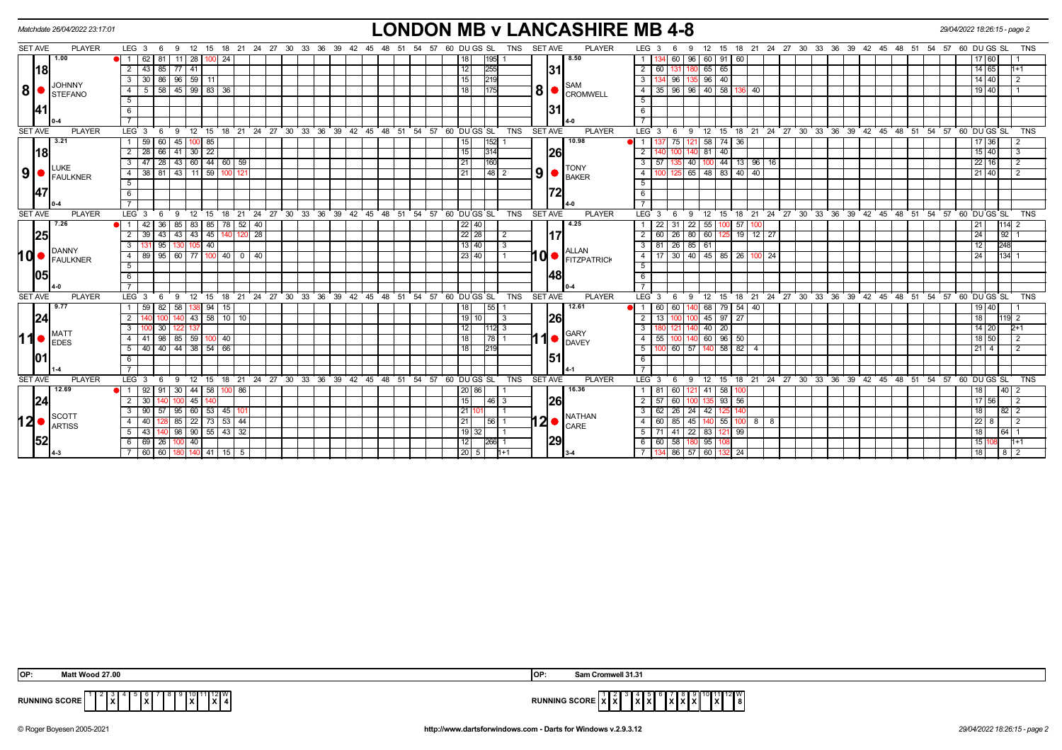|      |                | Matchdate 26/04/2022 23:17:01                                         |                  |                 |                               |              |       |                                   |                 |                 |                   |  |  |                                                         |    |  |  |                      |                   |                |                |            | <b>LONDON MB v LANCASHIRE MB 4-8</b>                                 |                |                  |              |                     |               |         |                |                |    |                                                       |  |  |  | 29/04/2022 18:26:15 - page 2 |                 |             |                |                |  |
|------|----------------|-----------------------------------------------------------------------|------------------|-----------------|-------------------------------|--------------|-------|-----------------------------------|-----------------|-----------------|-------------------|--|--|---------------------------------------------------------|----|--|--|----------------------|-------------------|----------------|----------------|------------|----------------------------------------------------------------------|----------------|------------------|--------------|---------------------|---------------|---------|----------------|----------------|----|-------------------------------------------------------|--|--|--|------------------------------|-----------------|-------------|----------------|----------------|--|
|      | <b>SET AVE</b> | <b>PLAYER</b>                                                         |                  | $LEG_36$        |                               | - 9          | 12    |                                   |                 |                 |                   |  |  | 15 18 21 24 27 30 33 36 39 42 45 48 51 54 57 60 DUGS SL |    |  |  |                      |                   | TNS            | SET AVE        |            | <b>PLAYER</b>                                                        |                | LEG <sub>3</sub> | -6           | 9                   | 12            | 15      |                |                |    | 18 21 24 27 30 33 36 39 42 45 48 51 54 57 60 DU GS SL |  |  |  |                              |                 |             |                | <b>TNS</b>     |  |
|      |                | 1.00                                                                  | $\mathbf{1}$     | 62 81           |                               |              |       | 11 28 100 24                      |                 |                 |                   |  |  |                                                         |    |  |  | 18 <sup>1</sup>      | 1951              |                |                |            | 8.50                                                                 |                |                  | 60           |                     | 96 60 91 60   |         |                |                |    |                                                       |  |  |  |                              |                 | 60          |                |                |  |
|      | 18             |                                                                       | $\overline{2}$   | $-43$           | 85                            | $77$ 41      |       |                                   |                 |                 |                   |  |  |                                                         |    |  |  | 12                   | 255               |                |                | 31         |                                                                      | 2              | 60               |              |                     | 65            | 65      |                |                |    |                                                       |  |  |  |                              |                 | 14 65       |                | $1+1$          |  |
|      |                |                                                                       | 3                |                 | $30 \ 86 \ 96 \ 59 \ 11$      |              |       |                                   |                 |                 |                   |  |  |                                                         |    |  |  | 15                   | 219               |                |                |            |                                                                      | 3 <sup>1</sup> |                  | 134 96       |                     | 135 96 40     |         |                |                |    |                                                       |  |  |  |                              |                 | 14 40       |                | $\overline{2}$ |  |
| 8 ●  |                | JOHNNY<br><b>STEFANO</b>                                              | 4                | 5               | 58                            |              |       | 45 99 83 36                       |                 |                 |                   |  |  |                                                         |    |  |  | 18 I                 |                   |                |                |            | <b>SAM</b><br>$\mathbf{8}$ $\bullet$ $\mathbf{c}_{\mathsf{ROMWELL}}$ | -4             | 35               | 96           |                     | $96$ 40 58    |         |                | 40             |    |                                                       |  |  |  |                              |                 | 19 40       |                |                |  |
|      |                |                                                                       | 5                |                 |                               |              |       |                                   |                 |                 |                   |  |  |                                                         |    |  |  |                      |                   |                |                |            |                                                                      | 5              |                  |              |                     |               |         |                |                |    |                                                       |  |  |  |                              |                 |             |                |                |  |
|      |                |                                                                       | 6                |                 |                               |              |       |                                   |                 |                 |                   |  |  |                                                         |    |  |  |                      |                   |                |                | <b>131</b> |                                                                      | 6              |                  |              |                     |               |         |                |                |    |                                                       |  |  |  |                              |                 |             |                |                |  |
|      |                |                                                                       |                  |                 |                               |              |       |                                   |                 |                 |                   |  |  |                                                         |    |  |  |                      |                   |                |                |            |                                                                      |                |                  |              |                     |               |         |                |                |    |                                                       |  |  |  |                              |                 |             |                |                |  |
|      | <b>SET AVE</b> | <b>PLAYER</b>                                                         | LEG <sub>3</sub> |                 | - 6                           | 9            | ີ 12  | 15                                |                 |                 |                   |  |  | 18 21 24 27 30 33 36 39 42 45 48 51 54 57 60 DUGS SL    |    |  |  |                      |                   | <b>TNS</b>     | <b>SET AVE</b> |            | <b>PLAYER</b>                                                        |                | LEG <sup>3</sup> | - 6          | 9                   | 12            | 15      |                |                |    | 18 21 24 27 30 33 36 39 42 45 48 51 54 57 60 DUGS SL  |  |  |  |                              |                 |             |                | <b>TNS</b>     |  |
|      |                | 3.21                                                                  |                  | $59$ 60         |                               | 45 100       |       | 85                                |                 |                 |                   |  |  |                                                         |    |  |  | 15                   | 1521              |                |                |            | 10.98                                                                | $\overline{1}$ |                  | 75           |                     | 58            | 74      | 36             |                |    |                                                       |  |  |  |                              |                 | 17 36       |                | 2              |  |
|      | 18             |                                                                       | $\overline{2}$   |                 | 28 66 41 30 22                |              |       |                                   |                 |                 |                   |  |  |                                                         |    |  |  | 15                   | 314               |                |                | 26         |                                                                      | $\overline{2}$ |                  |              |                     | 40 81         | 40      |                |                |    |                                                       |  |  |  |                              |                 | $15 \ 40$   |                | 3              |  |
|      |                |                                                                       | 3                | 47              | 28                            |              |       | 43 60 44 60                       | 59              |                 |                   |  |  |                                                         |    |  |  | 21                   | 160               |                |                |            |                                                                      | 3              | 57               |              |                     | 40 100        | 44      | 13             | 96             | 16 |                                                       |  |  |  |                              |                 | 22 16       |                | $\overline{2}$ |  |
|      |                | <b>ILUKE</b><br>$\vert 9 \vert$ $\bullet$ $\vert_{\texttt{FAULKNER}}$ | $\overline{4}$   |                 |                               |              |       | 38 81 43 11 59 100 121            |                 |                 |                   |  |  |                                                         |    |  |  | 21                   | 48 2              |                |                |            | <b>TONY</b><br>$9$ $\bullet$ $\frac{10}{\text{BAKER}}$               | 4              | 100              | 125          |                     |               |         | 65 48 83 40 40 |                |    |                                                       |  |  |  |                              |                 | 21 40       |                | $\overline{2}$ |  |
|      |                |                                                                       | 5                |                 |                               |              |       |                                   |                 |                 |                   |  |  |                                                         |    |  |  |                      |                   |                |                |            |                                                                      | 5              |                  |              |                     |               |         |                |                |    |                                                       |  |  |  |                              |                 |             |                |                |  |
|      | 47             |                                                                       | 6                |                 |                               |              |       |                                   |                 |                 |                   |  |  |                                                         |    |  |  |                      |                   |                |                |            |                                                                      | 6              |                  |              |                     |               |         |                |                |    |                                                       |  |  |  |                              |                 |             |                |                |  |
|      |                |                                                                       |                  |                 |                               |              |       |                                   |                 |                 |                   |  |  |                                                         |    |  |  |                      |                   |                |                |            |                                                                      |                |                  |              |                     |               |         |                |                |    |                                                       |  |  |  |                              |                 |             |                |                |  |
|      | <b>SET AVE</b> | <b>PLAYER</b>                                                         | LEG <sub>3</sub> |                 | - 6                           | 9            | 12    | 15<br>18                          |                 |                 |                   |  |  | 21 24 27 30 33 36 39 42 45 48 51 54 57 60 DUGS SL       |    |  |  |                      |                   | <b>TNS</b>     | <b>SET AVE</b> |            | <b>PLAYER</b>                                                        |                | $LEG^{\prime}$ 3 | - 6          | 9                   | 12            | 15      | ່ 18 ່ 21      |                |    | 24 27 30 33 36 39 42 45 48 51 54 57 60 DUGS SL        |  |  |  |                              |                 |             |                | <b>TNS</b>     |  |
|      |                | 7.26                                                                  |                  | 42              | 36                            | 85           | 83    |                                   |                 | 85 78 52 40     |                   |  |  |                                                         |    |  |  | $22$ 40              |                   |                |                |            | 4.25                                                                 |                | 22               | 31           |                     | 22 55         | 10C     | 57             |                |    |                                                       |  |  |  |                              | 21              |             | 114            |                |  |
|      | 25             |                                                                       | $\overline{2}$   | 39              | 43                            | 43 43 45     |       | 140                               | 120             | $\overline{28}$ |                   |  |  |                                                         |    |  |  | 22 28                |                   | $\overline{2}$ |                | <b>117</b> |                                                                      | $\overline{2}$ | 60               | 26           |                     | 80 60         |         | $19$ 12 $27$   |                |    |                                                       |  |  |  |                              | $\overline{24}$ |             | 92             |                |  |
|      |                | DANNY                                                                 |                  |                 | 95                            |              | 105 I | 40                                |                 |                 |                   |  |  |                                                         |    |  |  | 13   40              |                   | 3              |                |            | <b>ALLAN</b>                                                         | 3 I            | 81               | $\sqrt{26}$  |                     | 85 61         |         |                |                |    |                                                       |  |  |  |                              | 12              |             | 248            |                |  |
| hd∙  |                | <b>FAULKNER</b>                                                       | 4                | 89              | 95                            | 60 77        |       | 100 l                             | 40              | $0$   40        |                   |  |  |                                                         |    |  |  | 23   40              |                   |                |                |            | 10 FITZPATRICK                                                       | 4              | 17               | 30           |                     |               |         | 40 45 85 26    | 1001           | 24 |                                                       |  |  |  |                              | 24              |             | 134            |                |  |
|      |                |                                                                       | 5                |                 |                               |              |       |                                   |                 |                 |                   |  |  |                                                         |    |  |  |                      |                   |                |                |            |                                                                      | 5              |                  |              |                     |               |         |                |                |    |                                                       |  |  |  |                              |                 |             |                |                |  |
|      | <b>105</b>     |                                                                       | 6                |                 |                               |              |       |                                   |                 |                 |                   |  |  |                                                         |    |  |  |                      |                   |                |                | 148        |                                                                      | 6              |                  |              |                     |               |         |                |                |    |                                                       |  |  |  |                              |                 |             |                |                |  |
|      |                |                                                                       |                  |                 |                               |              |       |                                   |                 |                 |                   |  |  |                                                         |    |  |  |                      |                   |                |                |            |                                                                      |                |                  |              |                     |               |         |                |                |    |                                                       |  |  |  |                              |                 |             |                |                |  |
|      | <b>SET AVE</b> | <b>PLAYER</b>                                                         | LEG <sub>3</sub> |                 | - 6                           | - 9          | 12    | 15<br>18                          |                 |                 | 21 24 27 30 33 36 |  |  | $39 \t 42 \t 45$                                        | 48 |  |  | 51 54 57 60 DU GS SL |                   | <b>TNS</b>     | <b>SET AVE</b> |            | <b>PLAYER</b>                                                        |                | LEG <sub>3</sub> | - 6          | 9                   | 12            | 15      | 18 21          |                |    | 24 27 30 33 36 39 42 45 48 51 54 57 60 DUGS SL        |  |  |  |                              |                 |             |                | <b>TNS</b>     |  |
|      |                | 9.77                                                                  |                  | 59              | 82                            | 58           |       | 94                                | 15              |                 |                   |  |  |                                                         |    |  |  | 18 I                 | l 55              |                |                |            | 12.61                                                                | $\overline{1}$ | 60               | 60           |                     | 68            | 79      | $54 \mid$      | 40             |    |                                                       |  |  |  |                              |                 | 40          |                |                |  |
|      | 24             |                                                                       | $\overline{2}$   |                 |                               |              |       | 43 58 10 10                       |                 |                 |                   |  |  |                                                         |    |  |  | $19$   10            |                   | -3             |                | 26         |                                                                      | $\overline{2}$ | 13               |              |                     | 45            | 97      | 27             |                |    |                                                       |  |  |  |                              | 18              |             | 192            |                |  |
|      |                | MAT1                                                                  |                  |                 | 30                            |              |       |                                   |                 |                 |                   |  |  |                                                         |    |  |  | 12                   | $112$ 3           |                |                |            |                                                                      | $\mathbf{3}$   |                  |              |                     |               | 40 20   |                |                |    |                                                       |  |  |  |                              |                 | $14$ 20     |                | $2+1$          |  |
| 110  |                | <b>IEDES</b>                                                          |                  |                 | $41 \overline{\smash{)}\,98}$ |              |       | 85 59 100 40                      |                 |                 |                   |  |  |                                                         |    |  |  | 18                   | $\overline{78}$ 1 |                |                | 1●∣        | GARY<br>DAVEY                                                        | 4              | 55               |              |                     | 60            | $96$ 50 |                |                |    |                                                       |  |  |  |                              |                 | $18$ 50     |                | 2              |  |
|      |                |                                                                       | 5                |                 |                               |              |       | 40 40 44 38 54 66                 |                 |                 |                   |  |  |                                                         |    |  |  | 18                   | l219              |                |                |            |                                                                      | 5              | 100              | 60           |                     | $57$ 140      | 58      | 82             | $\overline{4}$ |    |                                                       |  |  |  |                              |                 | $21 \mid 4$ |                |                |  |
|      | 101            |                                                                       | 6                |                 |                               |              |       |                                   |                 |                 |                   |  |  |                                                         |    |  |  |                      |                   |                |                | 1511       |                                                                      | 6              |                  |              |                     |               |         |                |                |    |                                                       |  |  |  |                              |                 |             |                |                |  |
|      |                |                                                                       | $\overline{7}$   |                 |                               |              |       |                                   |                 |                 |                   |  |  |                                                         |    |  |  |                      |                   |                |                |            |                                                                      |                |                  |              |                     |               |         |                |                |    |                                                       |  |  |  |                              |                 |             |                |                |  |
|      | <b>SET AVE</b> | <b>PLAYER</b>                                                         | LEG <sub>3</sub> |                 | - 6                           | -9           | 12    | 15                                |                 |                 |                   |  |  | 18 21 24 27 30 33 36 39 42 45 48 51 54 57               |    |  |  | 60 DU GS SL          |                   | <b>TNS</b>     | <b>SET AVE</b> |            | <b>PLAYER</b>                                                        |                | LEG 3            | - 6          | -9                  | 12            | 15      |                |                |    | 18 21 24 27 30 33 36 39 42 45 48 51 54 57 60 DUGS SL  |  |  |  |                              |                 |             |                | <b>TNS</b>     |  |
|      |                | 12.69                                                                 |                  | -92 I           |                               | 30   44   58 |       |                                   | 100 86          |                 |                   |  |  |                                                         |    |  |  | 20   86              |                   |                |                |            | 16.36                                                                |                |                  | 60           |                     | 41            | 58      |                |                |    |                                                       |  |  |  |                              |                 |             | 40             |                |  |
|      | 24             |                                                                       | $\overline{2}$   | 30 <sup>1</sup> |                               | 100          | 45    |                                   |                 |                 |                   |  |  |                                                         |    |  |  | 15                   | $ 46 $ 3          |                |                | 26         |                                                                      |                | $2 \mid 57$      | 60           |                     | 100 135 93 56 |         |                |                |    |                                                       |  |  |  |                              |                 | 17 56       |                | $\overline{2}$ |  |
|      |                | <b>SCOTT</b>                                                          | 3                | 90 I            | -57                           | 95           |       | 60 53 45                          | 10 <sup>7</sup> |                 |                   |  |  |                                                         |    |  |  | 2111                 |                   |                |                |            | <b>NATHAN</b>                                                        |                | 62               | 26           | 24 I                | 42            |         |                |                |    |                                                       |  |  |  |                              | 18              |             | 32 I 2         |                |  |
| 12∣• |                | <b>ARTISS</b>                                                         | $\overline{4}$   | 40 I            |                               | 85           |       | 22   73   53   44                 |                 |                 |                   |  |  |                                                         |    |  |  | 21                   | 56   1            |                |                |            | $12 \bullet$ $\bullet$ $\bullet$                                     | 4              | 60               | 85           | 45                  |               | 140 55  |                | 88             |    |                                                       |  |  |  |                              |                 | $22 \mid 8$ |                | $\overline{2}$ |  |
|      |                |                                                                       | 5                | 43 I            |                               |              |       | 98 90 55 43 32                    |                 |                 |                   |  |  |                                                         |    |  |  | $19$ 32              |                   |                |                |            |                                                                      | - 5 I          |                  | $71 \mid 41$ |                     | 22 83         | 121 99  |                |                |    |                                                       |  |  |  |                              | 18              |             | 64             |                |  |
|      | 52             |                                                                       | 6                | 69 26           |                               | 100          | 40    |                                   |                 |                 |                   |  |  |                                                         |    |  |  | 12                   | $ 266 $ 1         |                |                | 29         |                                                                      | - 6 I          | $\overline{60}$  | $\sqrt{58}$  |                     | 180 95        |         |                |                |    |                                                       |  |  |  |                              | 15              |             |                | $1 + 1$        |  |
|      |                | $I4-3$                                                                |                  |                 |                               |              |       | 60   60   180   140   41   15   5 |                 |                 |                   |  |  |                                                         |    |  |  | 20 5                 |                   | $h+1$          |                |            |                                                                      |                |                  |              | 134 86 57 60 132 24 |               |         |                |                |    |                                                       |  |  |  |                              | 18 <sup>1</sup> |             | 8 <sup>2</sup> |                |  |

| OP:                  | Jood 27.00                                          | <b>OP</b>            | m Cromwell 31.31                                     |
|----------------------|-----------------------------------------------------|----------------------|------------------------------------------------------|
| <b>RUNNING SCORE</b> | 1   12   W<br>1 v 1<br>l x l<br>IXI.<br>ΙX<br>8 A I | <b>RUNNING SCORE</b> | IxIxI<br>IXIXI<br>- I X I<br>IXIXIXI<br>- 0<br>l 8 I |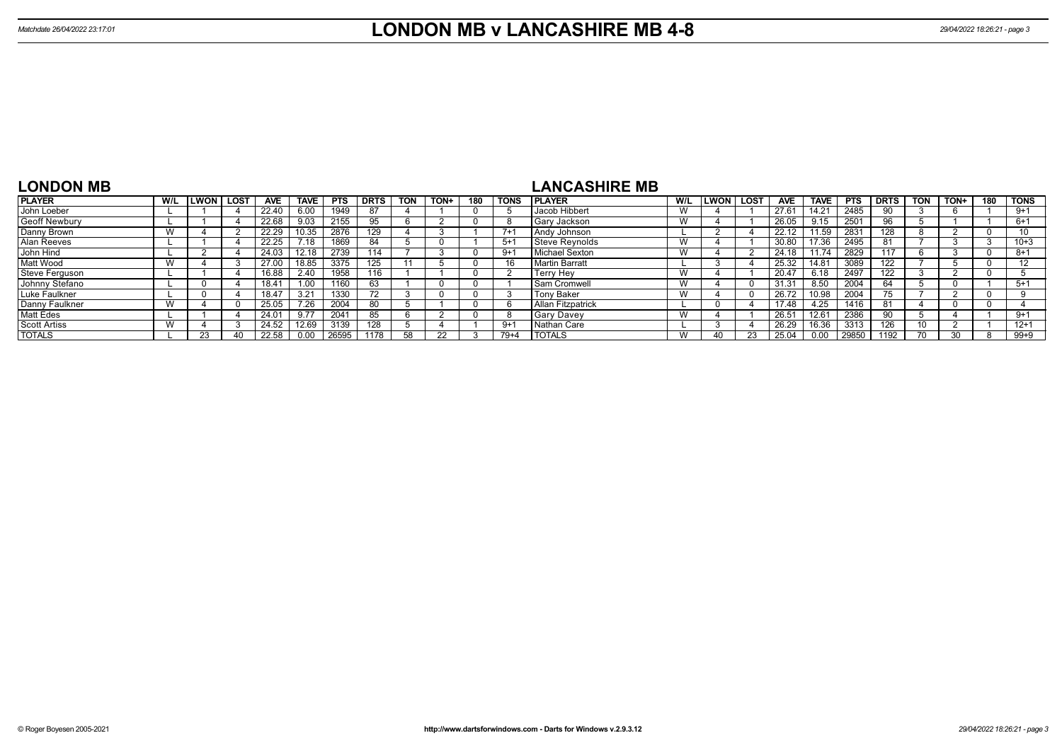| <b>LONDON MB</b>      |     |             |      |               |             |            |             |            |      |     |             | <b>LANCASHIRE MB</b>     |     |             |             |                |                |            |             |            |      |     |             |
|-----------------------|-----|-------------|------|---------------|-------------|------------|-------------|------------|------|-----|-------------|--------------------------|-----|-------------|-------------|----------------|----------------|------------|-------------|------------|------|-----|-------------|
| <b>PLAYER</b>         | W/L | <b>LWON</b> | LOST | <b>AVE</b>    | <b>TAVE</b> | <b>PTS</b> | <b>DRTS</b> | <b>TON</b> | TON+ | 180 | <b>TONS</b> | <b>IPLAYER</b>           | W/L | <b>LWON</b> | <b>LOST</b> | <b>AVE</b>     | <b>TAVE</b>    | <b>PTS</b> | <b>DRTS</b> | <b>TON</b> | TON+ | 180 | <b>TONS</b> |
| John Loeber           |     |             |      | 22.40         | 6.00        | 1949       | 87          |            |      |     |             | Jacob Hibbert            |     |             |             | 27.6           | $14.2^{\circ}$ | 2485       | 90          |            |      |     | $9 + 1$     |
| Geoff Newbury         |     |             |      | 22.68         | 9.03        | 2155       | 95          |            |      |     |             | Gary Jackson             |     |             |             | 26.05          | 9.15           | 2501       | 96          |            |      |     | $6 + 1$     |
| Danny Brown           | W   |             |      | 22.29         | 10.35       | 2876       | 129         |            |      |     | $7 + 1$     | Andy Johnson             |     |             |             | 22.12          | 11.59          | 2831       | 128         |            |      |     | 10          |
| Alan Reeves           |     |             |      | 22.25         | 7.18        | 1869       | 84          |            |      |     | $5+1$       | Steve Revnolds           |     |             |             | 30.80          | 17.36          | 2495       | 81          |            |      |     | $10 + 3$    |
| John Hind             |     |             |      | 24.03         | 12.18       | 2739       | 114         |            |      |     | 9+1         | Michael Sexton           |     |             |             | 24.18          | 11.74          | 2829       | 117         |            |      |     | $8 + 1$     |
| Matt Wood             | W   |             |      |               | 18.85       | 3375       | 125         |            |      |     | 16          | Martin Barratt           |     |             |             | 25.32          | 14.81          | 3089       | 122         |            |      |     | 12          |
| <b>Steve Ferguson</b> |     |             |      | 6.88          | 2.40        | 1958       | 116         |            |      |     |             | <b>Terry Hev</b>         |     |             |             | 20.47          | 6.18           | 2497       | 122         |            |      |     |             |
| Johnny Stefano        |     |             |      | $8.4^{\circ}$ | 1.00        | 1160       | 63          |            |      |     |             | <b>Sam Cromwell</b>      |     |             |             | 31.3'          | 8.50           | 2004       | 64          |            |      |     | $5 + 1$     |
| Luke Faulkner         |     |             |      | $34^{-}$      | 3.21        | 1330       | 72          |            |      |     |             | <b>Tony Baker</b>        |     |             |             |                | 10.98          | 2004       | 75          |            |      |     |             |
| Danny Faulkner        | W   |             |      |               | 7.26        | 2004       | 80          |            |      |     |             | <b>Allan Fitzpatrick</b> |     |             |             | 17.48          | 4.25           | 1416       | 81          |            |      |     |             |
| Matt Edes             |     |             |      | 24.0          | 9.77        | 2041       | 85          |            |      |     |             | <b>Gary Davey</b>        | W   |             |             | $26.5^{\circ}$ | 12.61          | 2386       | 90          |            |      |     | $9 + 1$     |
| <b>Scott Artiss</b>   | W   |             |      | 24.52         | 12.69       | 3139       | 128         |            |      |     | $9 + 1$     | Nathan Care              |     |             |             | 26.29          | 16.36          | 3313       | 126         |            |      |     | $12 + 1$    |

TOTALS W 40 23 25.04 0.00 29850 1192 70 30 8 99+9

TOTALS L 23 40 22.58 0.00 26595 1178 58 22 3 79+4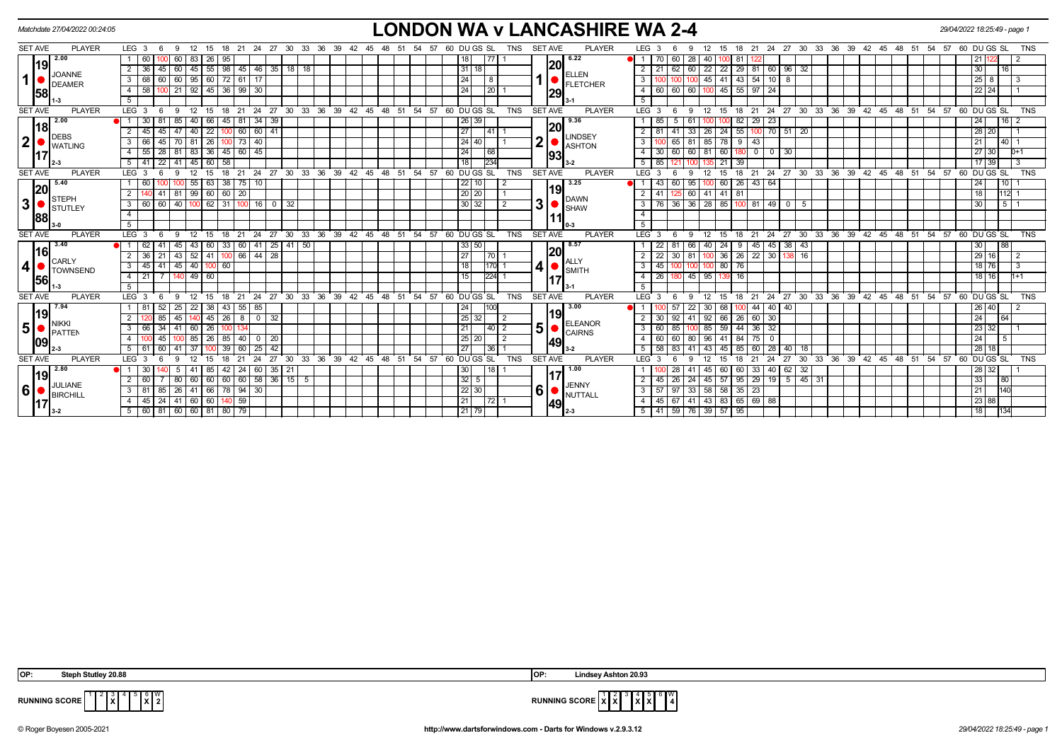|                         | Matchdate 27/04/2022 00:24:05  |                                                                                              | <b>LONDON WA v LANCASHIRE WA 2-4</b>                                                                                         | 29/04/2022 18:25:49 - page 1                                                    |
|-------------------------|--------------------------------|----------------------------------------------------------------------------------------------|------------------------------------------------------------------------------------------------------------------------------|---------------------------------------------------------------------------------|
| <b>SET AVE</b>          | <b>PLAYER</b>                  | LEG <sub>3</sub><br>27<br>30<br>33<br>36<br>39<br>- 6<br>-9<br>21<br>-42<br>18<br>24         | 60 DU GS SL<br><b>SET AVE</b><br><b>PLAYER</b><br>TNS<br>LEG <sub>3</sub><br>27<br>30<br>18<br>24<br>-54<br>15<br>-21<br>-45 | 33<br>-36<br>39<br>48<br>60 DU GS SL<br>- 42<br>-45<br>- 51<br>-54<br>57<br>TNS |
|                         | 2.00<br>19                     | 60<br>83<br>60<br>26 <sup>2</sup>                                                            | 6.22<br>77<br>60<br>28<br> 20                                                                                                |                                                                                 |
|                         | <b>JOANNE</b>                  | $55 \mid 98$<br>45 46 35 18 18<br>36<br>45<br>60<br>45<br>2                                  | 22   22   29   81   60   96   32<br>31 18<br>62<br>60<br>2<br>l 21 I<br><b>ELLEN</b>                                         | 16 <br>30 <sub>1</sub>                                                          |
| $\mathbf{1}$            | <b>DEAMER</b>                  | 60<br>95<br>60 72 61<br>68<br>l 17<br>3<br>60 l                                              | $-43$<br>$54$ 10<br>45 41<br>24<br>- 8<br>-8<br>3<br><b>FLETCHER</b>                                                         | $25 \overline{\smash{)}8}$<br>3                                                 |
|                         | 58                             | $145$ 36 99 30<br>58<br>21<br>92<br>4                                                        | $100$ 45 55 97 24<br>$\overline{24}$<br>20<br>$\sqrt{60}$<br>60<br>4<br>l 60 I<br> 29                                        | 22 24                                                                           |
|                         |                                | 5                                                                                            |                                                                                                                              |                                                                                 |
| <b>SET AVE</b>          | <b>PLAYER</b>                  | LEG <sub>3</sub><br>-6<br>-9<br>12<br>15<br>$^{\circ}$ 18                                    | 21 24 27 30 33 36 39 42 45 48 51 54 57 60 DUGS SL<br><b>PLAYER</b><br>TNS<br><b>SET AVE</b><br>$LEG^{\prime}$ 3<br>- 6<br>-9 | 12 15 18 21 24 27 30 33 36 39 42 45 48 51 54 57 60 DUGS SL<br><b>TNS</b>        |
|                         | 2.00<br> 18                    | 40<br>81<br>$34 \overline{39}$<br>30<br>85<br>  66  <br>45<br>81                             | 9.36<br>$26 \mid 39$<br>82<br>$29 \mid 23$<br>5<br>61<br> 20                                                                 | 24<br>$16$   2                                                                  |
|                         | <b>DEBS</b>                    | 60<br>$60 \ 41$<br>45<br>40<br>22<br>2<br>45 I<br>47<br>100                                  | 27<br>24<br>55<br>$100$ 70 51 20<br>33<br>l 41 l<br>41<br>2   8<br>26 I<br><b>LINDSEY</b>                                    | 28 20                                                                           |
| $\mathbf{2} \vert$      | <b>WATLING</b>                 | $73 \mid 40$<br>26<br>3<br>66<br>45 I<br>70<br>81                                            | 2 <sup>1</sup><br>24   40  <br>65<br>81<br>85<br>78<br>9<br>43<br>3 <sup>1</sup><br><b>ASHTON</b>                            | $140$ 1                                                                         |
|                         | 17 <sup>′</sup>                | 55<br>36 45 60 45<br>28 81<br>83<br>$\overline{4}$                                           | 24<br>68<br>60<br>$4 \mid 30 \mid 60$<br>60<br>$0 \mid 0 \mid 30$<br>-81 I<br>  180<br>93                                    | 27 30<br>$D+1$                                                                  |
|                         |                                | 22 41 45 60 58<br>$5 \mid 41$                                                                | 234<br>18<br>$5 \mid 85$<br>135 21 39<br>121                                                                                 | 17 39<br>$\overline{3}$                                                         |
| <b>SET AVE</b>          | <b>PLAYER</b>                  | 24 27 30 33 36 39 42 45 48 51 54 57<br>LEG <sub>3</sub><br>21<br>18                          | 60 DU GS SL<br><b>SET AVE</b><br><b>PLAYER</b><br>LEG <sup>3</sup><br><b>TNS</b><br>18<br>21<br>15                           | 24 27 30 33 36 39 42 45 48 51 54 57<br>60 DU GS SL<br><b>TNS</b>                |
|                         | 5.40<br> 20                    | 63   38<br>$75$   10<br>55<br>-60                                                            | 3.25<br>22 10 <br>60<br>26<br>$43 \mid 64$<br>60<br>95<br>$\overline{1}$<br>119                                              | 1101<br>24                                                                      |
|                         | STEPH                          | 99   60   60   20<br>41   81                                                                 | 20 20<br>41 81<br>60<br>125 I<br>41 I<br>DAWN                                                                                | 18<br>112                                                                       |
| $\overline{\mathbf{3}}$ | $\blacksquare$ STUTLEY         | 62 31<br>3 I<br>60<br>60 I 40<br>$100$   16  <br>$0 \mid 32$                                 | 3 <sup>1</sup><br>30 32<br>3   76   36   36   28   85   100   81   49   0<br>$\mathcal{P}$<br>l 5<br><b>SHAW</b>             | $\sqrt{5}$ 1<br>30                                                              |
|                         | 88                             | $\overline{4}$                                                                               | $\overline{4}$                                                                                                               |                                                                                 |
|                         |                                | 5                                                                                            | -5                                                                                                                           |                                                                                 |
| <b>SET AVE</b>          | <b>PLAYER</b>                  | LEG <sup>1</sup><br>30<br>33<br>$36 \quad 39 \quad 42 \quad 45$<br>27<br>21<br>24            | 48 51<br>54 57<br>60 DU GS SL<br><b>TNS</b><br><b>SET AVE</b><br><b>PLAYER</b><br>LEG 3<br>24<br>27<br>18<br>21              | 30 33 36 39 42 45 48 51 54<br>57<br>60 DU GS SL<br><b>TNS</b>                   |
|                         | 3.40<br> 16                    | $25 \mid 41$<br>$\sqrt{50}$<br>33<br>41<br>60                                                | 18.57<br>33 50<br>45<br>38<br>66<br>24<br>45 l<br>43<br> 20                                                                  | 88<br>30                                                                        |
|                         | CARLY                          | 52<br>66 44 28<br>43<br>36<br>41                                                             | 27<br>36<br>$22 \mid 30$<br>70<br>30<br>$\sqrt{26}$<br>16<br>81<br>138                                                       | 29 16<br>$\overline{2}$                                                         |
| 4                       | <b>TOWNSEND</b>                | 45 40<br>100 60<br>$3^{\circ}$<br>45<br>41 I                                                 | ALLY<br>SMITH<br>170<br>41<br>80 76<br>45                                                                                    | 18 76                                                                           |
|                         | 56                             | $140$ 49 60<br>21<br>4                                                                       | 224 <br>45<br>26<br>95  <br>16<br>4<br>180<br>1391<br><b>117</b>                                                             | 18 16<br>$1 + 1$                                                                |
|                         |                                | -5                                                                                           |                                                                                                                              |                                                                                 |
| <b>SET AVE</b>          | <b>PLAYER</b>                  | 24 27 30 33 36 39 42 45 48 51 54 57<br>LEG <sub>3</sub><br>12<br>15<br>18<br>21<br>- 6<br>-9 | 60 DU GS SL<br><b>SET AVE</b><br><b>PLAYER</b><br>TNS<br>LEG <sub>3</sub><br>12<br>15<br>18<br>21<br>- 6<br>Q                | 24 27 30 33 36 39 42 45 48 51 54 57 60 DUGS SL<br>TNS                           |
|                         | 19                             | $38 \mid 43 \mid 55 \mid 85$<br>-81<br>-52 I<br>25<br>22                                     | 3.00<br>68<br>$44$ 40 40<br>24<br>57<br>22<br>-30 I<br>100<br>119                                                            | 26 40                                                                           |
|                         | <b>NIKKI</b>                   | $45 \mid 26 \mid$<br>$\overline{\phantom{a}}$<br>32<br>2<br>85 I<br>45<br>8                  | 25 32 <br>92<br>66<br>26<br>$60$ 30<br>$\overline{2}$<br>2<br>41<br>92 <sub>1</sub><br><b>ELEANOR</b>                        | 64<br>24 <sup>1</sup>                                                           |
| $5\vert$                | PATTEN                         | 66<br>60<br>3 I<br>-34 I<br>41<br>26 I                                                       | 5 <sup>1</sup><br> 40 2<br>59<br>44<br>21<br>85<br>$36 \mid 32$<br>3 <sup>1</sup><br>I 60<br>85  <br><b>CAIRNS</b>           | 23 32                                                                           |
|                         | 09                             | 85<br>$26 \mid 85$<br>40<br>20<br>45 I<br>0 I                                                | $25 \mid 20$<br>2<br>60<br>80<br>41<br>84<br>75<br>$\overline{4}$<br>I 60 I<br>96 I<br>$\overline{\mathbf{0}}$<br>49         | 24<br>$\overline{5}$                                                            |
|                         |                                | 39<br>42<br>5 61<br>60 I<br>41<br>37<br>60<br>251                                            | $\overline{27}$<br> 36 <br>$5 \mid 58 \mid 83$<br>41<br>45<br>60 28 40 18<br>43<br>l 85                                      | 28 18                                                                           |
| <b>SET AVE</b>          | <b>PLAYER</b>                  | <b>LEG</b><br>30<br>33 36<br>21<br>27                                                        | 54<br>60 DU GS SL<br><b>SET AVE</b><br><b>PLAYER</b><br>39 42 45 48<br>51<br>57<br><b>TNS</b><br>LEG 3<br>27<br>30 33<br>24  | 36 39 42 45 48 51<br>60 DU GS SL<br>ີ 54<br>$\overline{57}$<br><b>TNS</b>       |
|                         | 2.80<br>19                     | $35$ 21<br>24 60<br>5<br>-85 I<br>42  <br>-30<br>-41                                         | 1.00<br>30 <sup>1</sup><br>33   40<br>18<br>60<br>62 32<br>-28<br>45 I<br>60<br>-41<br>117                                   | 28 32                                                                           |
|                         | JULIANE                        | 60 58 36 15 5<br>60<br>60<br>60<br>80<br>60                                                  | $32 \mid 5$<br>45 57 95 29 19 5 45 31<br>$45 \mid 26$<br>2<br>24<br><b>JENNY</b>                                             | 33<br>80                                                                        |
| 6                       | $\blacksquare$ <b>BIRCHILL</b> | $66 \mid 78 \mid 94 \mid 30$<br>81<br>85 26 41<br>3 I                                        | 6<br>$22$ 30<br>58 58 35<br>3   57   97<br>33<br> 23 <br><b>NUTTALL</b>                                                      | 140<br>21                                                                       |
|                         | 17                             | $140$ 59<br>$24$ 41<br>4 I<br>45                                                             | 21<br> 72 <br>4 4 5 67 41 43 83 65 69 88<br>49                                                                               | 23 88                                                                           |
|                         |                                | 5   60   81   60   60   81   80   79                                                         | 21 79 <br>5   41   59   76   39   57   95                                                                                    | 18<br>134                                                                       |

**X**

 $4^{6}$   $8^{6}$   $8^{6}$ 



**RUNNING SCORE**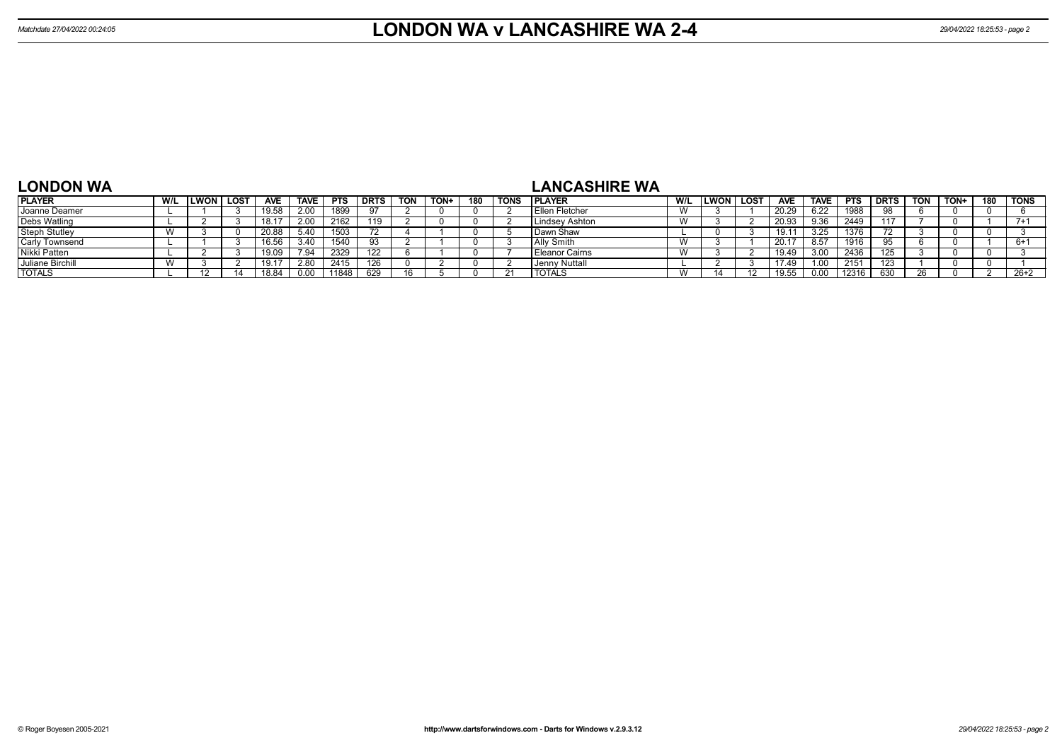# **LONDON WA**

## **LANCASHIRE WA**

| <b>PLAYER</b>         | W/L | LWON | <b>LOST</b> | <b>AVE</b> | <b>TAVE</b> | <b>PTS</b> | DRTS | <b>TON</b> | TON+ | 180 | <b>TONS</b> | <b>PLAYER</b>  | W/L                    | LWON | <b>LOST</b>    | <b>AVE</b> | <b>TAVE</b> | <b>PTS</b> | <b>DRTS</b> | <b>TON</b> | TON+ | 180 | <b>TONS</b> |
|-----------------------|-----|------|-------------|------------|-------------|------------|------|------------|------|-----|-------------|----------------|------------------------|------|----------------|------------|-------------|------------|-------------|------------|------|-----|-------------|
| Joanne Deamer         |     |      |             | 19.58      | 2.00        | 1899       |      |            |      |     |             | Ellen Fletcher | $\lambda$<br><b>VV</b> |      |                | 20.29      | 6.22        | 1988       |             |            |      |     |             |
| Debs Watling          |     |      |             | 18.17      | 2.00        | 2162       | 119  |            |      |     |             | Lindsev Ashton | $\overline{M}$<br>V V  |      |                | 20.93      | 9.36        | 2449       | 117         |            |      |     |             |
| Steph Stutley         |     |      |             | 20.88      | 5.40        | 1503       |      |            |      |     |             | l Dawn Shaw    |                        |      |                | 19.1       | 3.25        | 1376       |             |            |      |     |             |
| <b>Carly Townsend</b> |     |      |             | 16.56      | 3.40        | 1540       |      |            |      |     |             | Ally Smith     | W                      |      |                | 20.1       | 8.57        | 1916       |             |            |      |     |             |
| Nikki Patten          |     |      |             | 19.09      | 7.94        | 2329       | 122  |            |      |     |             | Eleanor Cairns | $\lambda$<br>V V       |      |                | 19.49      | 3.00        | 2436       | 125         |            |      |     |             |
| Juliane Birchill      |     |      |             | 19.11      | 2.80        | 2415       |      |            |      |     |             | Jenny Nuttall  |                        |      |                | 17.49      | 1.00        | 215'       | 123         |            |      |     |             |
| <b>TOTALS</b>         |     |      |             |            | 0.00        | 11848      | 629  |            |      |     |             | <b>TOTALS</b>  | W                      |      | $\overline{A}$ | 19.55      | 0.00        | 12316      | 630         |            |      |     | $26+2$      |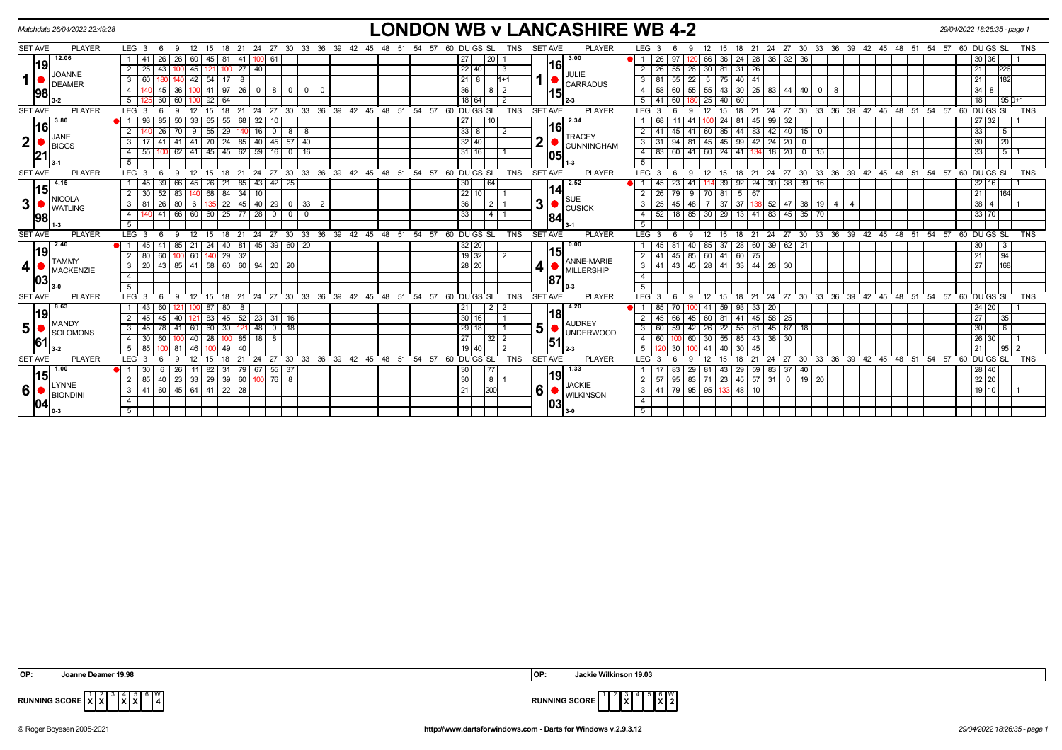|                         |                | Matchdate 26/04/2022 22:49:28 |                   |      |                 |                                      |           |    |                 |                   |                         |                                  |    |                                                |                                                   |     |            |    |     |     |                  |    |                 |             |                |            |                |      | <b>LONDON WB v LANCASHIRE WB 4-2</b> |                  |        |                                                 |                |                  |              |                 |              |                        |                                                    |                         |      |           |     |    | 29/04/2022 18:26:35 - page 1                         |              |                  |            |
|-------------------------|----------------|-------------------------------|-------------------|------|-----------------|--------------------------------------|-----------|----|-----------------|-------------------|-------------------------|----------------------------------|----|------------------------------------------------|---------------------------------------------------|-----|------------|----|-----|-----|------------------|----|-----------------|-------------|----------------|------------|----------------|------|--------------------------------------|------------------|--------|-------------------------------------------------|----------------|------------------|--------------|-----------------|--------------|------------------------|----------------------------------------------------|-------------------------|------|-----------|-----|----|------------------------------------------------------|--------------|------------------|------------|
|                         | <b>SET AVE</b> | <b>PLAYER</b>                 | LEG <sub>3</sub>  |      |                 |                                      |           |    |                 |                   | -24                     | 27                               | 30 | - 33<br>36                                     | -39                                               | -42 |            |    |     | -54 | -57              | 60 |                 | DU GS SL    |                | TNS        | <b>SET AVE</b> |      | <b>PLAYER</b>                        | LEG <sub>3</sub> |        |                                                 |                | 15               | 18           | - 21            |              |                        | 24 27 30 33 36                                     | 39 42                   | - 45 | 48<br>-51 | -54 | 57 | 60 DU GS SL                                          |              |                  | <b>TNS</b> |
|                         |                | 12.06                         |                   | -41  |                 | 26                                   |           |    |                 |                   |                         |                                  |    |                                                |                                                   |     |            |    |     |     |                  |    |                 |             | 20             |            |                |      | 13.00                                |                  |        |                                                 |                | 36               |              | 28              | -36          | $32 \mid$<br>  36      |                                                    |                         |      |           |     |    |                                                      | 30 36        |                  |            |
|                         | 19             | <b>JOANNE</b>                 |                   | 25   | 43              | 45                                   |           |    |                 | $27 \mid 40$      |                         |                                  |    |                                                |                                                   |     |            |    |     |     |                  |    | 22 40           |             |                |            |                | 16   | JULIE                                |                  |        | 55                                              | 26 30 81 31 26 |                  |              |                 |              |                        |                                                    |                         |      |           |     |    | 21                                                   |              | 226              |            |
| $\mathbf{1}$            |                | <b>DEAMER</b>                 | 3                 | 60   |                 | 42                                   | 54        |    | 17 I            |                   |                         |                                  |    |                                                |                                                   |     |            |    |     |     |                  |    | $21 \mid 8$     |             |                | 1+1        |                |      | <b>CARRADUS</b>                      | 3                |        | 55                                              | 22             | $5 \mid 75 \mid$ | $40 \mid 41$ |                 |              |                        |                                                    |                         |      |           |     |    | 21                                                   |              | 182              |            |
|                         | 98             |                               |                   |      |                 |                                      | 41        |    | $97$   26       |                   | $\overline{\mathbf{0}}$ | 800                              |    | 0 1 0                                          |                                                   |     |            |    |     |     |                  |    | 36              |             |                |            |                | l15I |                                      |                  |        | 60                                              |                | 55 43            |              |                 |              |                        | $30 \mid 25 \mid 83 \mid 44 \mid 40 \mid 0 \mid 8$ |                         |      |           |     |    |                                                      | 34           |                  |            |
|                         |                |                               |                   |      | -60 I           |                                      | $92 \mid$ | 64 |                 |                   |                         |                                  |    |                                                |                                                   |     |            |    |     |     |                  |    | $18$ 64         |             |                |            |                |      |                                      |                  |        | 60                                              |                | 40               | 60           |                 |              |                        |                                                    |                         |      |           |     |    | 18                                                   |              | $195D+1$         |            |
|                         | <b>SET AVE</b> | <b>PLAYER</b>                 | LEG <sub>3</sub>  |      |                 |                                      | 15        | 18 | 21              |                   |                         |                                  |    | 24 27 30 33 36 39 42 45 48 51 54 57 60 DUGS SL |                                                   |     |            |    |     |     |                  |    |                 |             |                | <b>TNS</b> | <b>SET AVE</b> |      | <b>PLAYER</b>                        | LEG <sup>3</sup> |        |                                                 |                | 15               | 18           | 21              |              |                        |                                                    |                         |      |           |     |    | 24 27 30 33 36 39 42 45 48 51 54 57 60 DUGS SL       |              |                  | <b>TNS</b> |
|                         | 3.80<br>16     |                               |                   | 93   | -85 I           | 33<br>50                             | 65 l      |    | 55              | 68                | 32                      | 10                               |    |                                                |                                                   |     |            |    |     |     |                  |    | 27              |             |                |            |                |      | 2.34                                 |                  |        |                                                 |                | 24               |              | $81$   45       | $\boxed{99}$ | 32                     |                                                    |                         |      |           |     |    |                                                      | 27 32        |                  |            |
|                         |                | <b>JANE</b>                   |                   |      | 26 <sub>1</sub> | -9<br>70                             | $-55$     |    | 29              |                   | 16                      | $0 \mid 8$                       |    | 8                                              |                                                   |     |            |    |     |     |                  |    | 3388            |             |                |            |                | 16   | <b>TRACEY</b>                        |                  |        | 45                                              |                | 85               |              | $44$   83       |              |                        | $42$ 40 15 0                                       |                         |      |           |     |    | 33                                                   |              | 5 <sup>1</sup>   |            |
| $\mathbf{2}$            |                | <b>BIGGS</b>                  | 3                 |      | 41   41         | 41                                   | 70 I      | 24 |                 | 85                | 40                      | $45 \overline{57}$               |    | 40                                             |                                                   |     |            |    |     |     |                  |    | 32 40           |             |                |            | $\mathbf{2}$   |      | <b>CUNNINGHAM</b>                    | 3                |        | 94                                              | 81             | 45 45            |              | 99   42   24    |              | $20$ 0                 |                                                    |                         |      |           |     |    | 30                                                   |              | $\overline{20}$  |            |
|                         | 21             |                               | $\overline{4}$    | 55   |                 | 62<br>41                             |           |    |                 |                   |                         | $145$   45   62   59   16   0    |    | 16                                             |                                                   |     |            |    |     |     |                  |    | 31 16           |             |                |            |                | 1051 |                                      | $\overline{4}$   | l 83   | 60                                              | 41             |                  |              | 60 24 41 134 18 |              |                        | 20   0   15                                        |                         |      |           |     |    | 33                                                   |              | $\overline{5}$ 1 |            |
|                         |                |                               | 5 <sup>5</sup>    |      |                 |                                      |           |    |                 |                   |                         |                                  |    |                                                |                                                   |     |            |    |     |     |                  |    |                 |             |                |            |                |      | $1 - 3$                              | 5 <sup>5</sup>   |        |                                                 |                |                  |              |                 |              |                        |                                                    |                         |      |           |     |    |                                                      |              |                  |            |
|                         | <b>SET AVE</b> | <b>PLAYER</b>                 | LEG <sub>3</sub>  |      | -6              | 12<br>-9                             | 15        | 18 | 21              |                   |                         |                                  |    | 24 27 30 33 36 39 42 45 48 51 54 57 60 DUGS SL |                                                   |     |            |    |     |     |                  |    |                 |             |                | TNS        | <b>SET AVE</b> |      | <b>PLAYER</b>                        | $LEG \ 3$        |        |                                                 | 12<br>-9       | 15               |              |                 |              |                        |                                                    |                         |      |           |     |    | 18 21 24 27 30 33 36 39 42 45 48 51 54 57 60 DUGS SL |              |                  | <b>TNS</b> |
|                         | 14.15<br> 15   |                               |                   | l 45 | 39 66           |                                      | 45   26   | 21 |                 | $85 \mid 43 \mid$ |                         | 42 25                            |    |                                                |                                                   |     |            |    |     |     |                  |    | 30 <sup>1</sup> |             | 64             |            |                |      | 2.52                                 |                  |        | 23                                              |                | 14 39            |              |                 |              |                        | $92 \mid 24 \mid 30 \mid 38 \mid 39 \mid 16$       |                         |      |           |     |    |                                                      | $32 \mid 16$ |                  |            |
|                         |                | $\blacksquare$ NICOLA         | $2 \overline{30}$ |      | 52   83         |                                      | 140 68    |    | $84$ 34 10      |                   |                         |                                  |    |                                                |                                                   |     |            |    |     |     |                  |    | 22 10           |             |                |            |                | 14   | <b>SUE</b>                           |                  |        | 79                                              | -9             | 70 81            | $5 \mid 67$  |                 |              |                        |                                                    |                         |      |           |     |    | 21                                                   |              | 164              |            |
| 3 <sup>1</sup>          |                | <b>WATLING</b>                | 3   81            |      | 26 I            | 80                                   |           |    |                 |                   |                         |                                  |    | $22$   45   40   29   0   33   2               |                                                   |     |            |    |     |     |                  |    | 36              |             | 2 <sup>1</sup> |            | 3              |      | <b>CUSICK</b>                        | $\mathbf{3}$     |        | 45                                              | 48 I           | $\sqrt{37}$      |              |                 |              |                        | 37   138   52   47   38   19   4                   | -4                      |      |           |     |    |                                                      | 38           |                  |            |
|                         | 98             |                               | 4                 |      |                 | 41 66 60 60 25 77 28 0 0             |           |    |                 |                   |                         |                                  |    | $\mathbf{0}$                                   |                                                   |     |            |    |     |     |                  |    | 33              |             | 4 <sup>1</sup> |            |                | 84   |                                      | 4                | 52     | 18   85   30   29   13   41   83   45   35   70 |                |                  |              |                 |              |                        |                                                    |                         |      |           |     |    |                                                      | 33 70        |                  |            |
|                         |                |                               | 5                 |      |                 |                                      |           |    |                 |                   |                         |                                  |    |                                                |                                                   |     |            |    |     |     |                  |    |                 |             |                |            |                |      |                                      |                  |        |                                                 |                |                  |              |                 |              |                        |                                                    |                         |      |           |     |    |                                                      |              |                  |            |
| <b>SET AVE</b>          |                | <b>PLAYER</b>                 | LEG <sub>3</sub>  |      |                 |                                      | 15        | 18 | 21              |                   | $24 \overline{27}$      |                                  |    | 30 33 36 39 42 45 48 51 54 57 60 DUGS SL       |                                                   |     |            |    |     |     |                  |    |                 |             |                | TNS        | <b>SET AVE</b> |      | PLAYER                               | $LEG^3$ 3        |        |                                                 |                | 15               | 18           |                 |              |                        |                                                    |                         |      |           |     |    | 21 24 27 30 33 36 39 42 45 48 51 54 57 60 DUGS SL    |              |                  | <b>TNS</b> |
|                         | 2.40<br> 19    |                               |                   |      |                 | 85<br>21                             | 24        |    | $40$ 81         |                   |                         | 45 39 60 20                      |    |                                                |                                                   |     |            |    |     |     |                  |    | $32 \mid 20$    |             |                |            |                |      | 0.00                                 |                  |        |                                                 |                | 37               |              |                 |              | 28 60 39 62 21         |                                                    |                         |      |           |     |    | 30                                                   |              | 3                |            |
|                         |                | $\bigcap$ TAMMY               |                   | 80   |                 | 60                                   |           |    | $\overline{29}$ | 32                |                         |                                  |    |                                                |                                                   |     |            |    |     |     |                  |    | $19$ 32         |             |                |            |                | 15   | ANNE-MARIE                           | 2                |        | 45                                              | 85 60 41       |                  | 60 75        |                 |              |                        |                                                    |                         |      |           |     |    | 21                                                   |              | 94               |            |
| $\overline{\mathbf{r}}$ |                | MACKENZIE                     | $3 \mid 20$       |      | 43 85           | 41                                   |           |    |                 |                   |                         | $58$ 60 60 94 20 20              |    |                                                |                                                   |     |            |    |     |     |                  |    | 28 20           |             |                |            |                |      | <b>MILLERSHIP</b>                    | $3 \mid 41$      |        | 43                                              | 45 28 41       |                  |              | 33   44   28    |              | $\sqrt{30}$            |                                                    |                         |      |           |     |    | 27                                                   |              | 168              |            |
|                         | 03             |                               | $\overline{4}$    |      |                 |                                      |           |    |                 |                   |                         |                                  |    |                                                |                                                   |     |            |    |     |     |                  |    |                 |             |                |            |                | 187  |                                      | $\overline{4}$   |        |                                                 |                |                  |              |                 |              |                        |                                                    |                         |      |           |     |    |                                                      |              |                  |            |
|                         |                |                               | 5                 |      |                 |                                      |           |    |                 |                   |                         |                                  |    |                                                |                                                   |     |            |    |     |     |                  |    |                 |             |                |            |                |      |                                      | 5                |        |                                                 |                |                  |              |                 |              |                        |                                                    |                         |      |           |     |    |                                                      |              |                  |            |
|                         | <b>SET AVE</b> | <b>PLAYER</b>                 | LEG <sub>3</sub>  |      |                 |                                      |           |    |                 |                   | 24                      | 27                               | 30 | 33<br>36                                       | 39                                                |     | 42<br>- 45 | 48 | -51 | 54  | 57               |    |                 | 60 DU GS SL |                | <b>TNS</b> | <b>SET AVE</b> |      | <b>PLAYER</b>                        | LEG 3            |        |                                                 |                |                  |              | 21              | 24           |                        |                                                    | 27 30 33 36 39 42 45    |      | $48$ 51   | 54  |    | 57 60 DU GS SL                                       |              |                  | <b>TNS</b> |
|                         | 8.63<br> 19    |                               |                   | 43   |                 |                                      | -87       |    | 80              |                   |                         |                                  |    |                                                |                                                   |     |            |    |     |     |                  |    | 21              |             | 2              |            |                | 118  | 4.20                                 |                  |        |                                                 |                | 59               |              | 93   33   20    |              |                        |                                                    |                         |      |           |     |    |                                                      | 24<br>20 I   |                  |            |
|                         |                | <b>MANDY</b>                  |                   |      |                 |                                      | 83        |    | 45              |                   |                         | $52$   23   31   16              |    |                                                |                                                   |     |            |    |     |     |                  |    | 30 16           |             |                |            |                |      | <b>AUDREY</b>                        |                  |        | 66                                              |                | 60 81            |              | 41 45 58 25     |              |                        |                                                    |                         |      |           |     |    | 27                                                   |              | 35               |            |
| 5                       |                | SOLOMONS                      | 3                 | 45   | 78 I            | 60                                   | -60 I     |    | 30<br>121       |                   |                         | 48 0 18                          |    |                                                |                                                   |     |            |    |     |     |                  |    | 29 18           |             |                |            | 5              |      | <b>UNDERWOOD</b>                     |                  | 3   60 | 59                                              | $42$   26      | 22               |              |                 |              | 55   81   45   87   18 |                                                    |                         |      |           |     |    | 30                                                   |              | 6                |            |
|                         | 61             |                               | $4 \overline{30}$ |      | 60 I            | 40                                   | 28 I      |    | $100$ 85 18     |                   |                         | - 8                              |    |                                                |                                                   |     |            |    |     |     |                  |    | 27 I            |             | $32$   2       |            |                | 51   |                                      |                  | 60     |                                                 | 60 30 55       |                  |              | 85 43 38 30     |              |                        |                                                    |                         |      |           |     |    |                                                      | 26<br>30 I   |                  | - 1        |
|                         |                |                               |                   | 85   |                 | 46                                   |           |    | 40<br>49        |                   |                         |                                  |    |                                                |                                                   |     |            |    |     |     |                  |    | $19$ 40         |             |                |            |                |      |                                      |                  |        | 30                                              |                | 40               |              | 30145           |              |                        |                                                    |                         |      |           |     |    | 21                                                   |              | $95$ 2           |            |
|                         | <b>SET AVE</b> | <b>PLAYER</b>                 | LEG <sub>3</sub>  |      |                 |                                      |           | 18 | 21              |                   | 24                      | 27                               | 30 | ່ 33                                           | $36 \quad 39 \quad 42 \quad 45 \quad 48 \quad 51$ |     |            |    |     |     | 54 57 60 DUGS SL |    |                 |             |                | <b>TNS</b> | <b>SET AVE</b> |      | <b>PLAYER</b>                        | $LEG^3$ 3        |        |                                                 |                | 15               | 18           | 21              | 24           | 27                     |                                                    | 30 33 36 39 42 45 48 51 |      |           |     |    | $54$ $57$ 60 DUGS SL                                 |              |                  | <b>TNS</b> |
|                         | 15             | 1.00                          |                   | 30   |                 | 26<br>11                             | 82        | 31 |                 |                   |                         | 79 67 55 37                      |    |                                                |                                                   |     |            |    |     |     |                  |    | 30              |             | 77             |            |                | 119  | 1.33                                 |                  |        | 83                                              | 29             | 81 43            |              |                 |              | 29 59 83 37 40         |                                                    |                         |      |           |     |    |                                                      | 28 40        |                  |            |
|                         |                | LYNNE                         | $2 \mid 85$       |      | $40 \mid 23$    |                                      |           |    |                 |                   |                         | 33   29   39   60   100   76   8 |    |                                                |                                                   |     |            |    |     |     |                  |    | 30              |             | 8              |            |                |      | <b>JACKIE</b>                        | $2 \mid 57$      |        | 95                                              | 83 71 23       |                  |              |                 |              |                        | $45$ 57 31 0 19 20                                 |                         |      |           |     |    |                                                      | 32 20        |                  |            |
| $6\vert$                |                | <b>BIONDINI</b>               |                   |      |                 | 3   41   60   45   64   41   22   28 |           |    |                 |                   |                         |                                  |    |                                                |                                                   |     |            |    |     |     |                  |    | 21              |             | 200            |            | 6              |      | <b>WILKINSON</b>                     |                  |        | 3   41   79   95   95   133                     |                |                  |              | $-48$ 10        |              |                        |                                                    |                         |      |           |     |    |                                                      | 19 10        |                  |            |
|                         | 04             |                               |                   |      |                 |                                      |           |    |                 |                   |                         |                                  |    |                                                |                                                   |     |            |    |     |     |                  |    |                 |             |                |            |                | 03   |                                      |                  |        |                                                 |                |                  |              |                 |              |                        |                                                    |                         |      |           |     |    |                                                      |              |                  |            |
|                         |                |                               | 5 <sup>5</sup>    |      |                 |                                      |           |    |                 |                   |                         |                                  |    |                                                |                                                   |     |            |    |     |     |                  |    |                 |             |                |            |                |      |                                      | -5               |        |                                                 |                |                  |              |                 |              |                        |                                                    |                         |      |           |     |    |                                                      |              |                  |            |

**RUNNING SCORE**  $\begin{bmatrix} 1 & 2 & 3 & 4 & 5 & 6 & \mathbb{W} \\ \mathbf{X} & \mathbf{X} & \mathbf{X} & \mathbf{X} & \mathbf{X} \end{bmatrix}$  **6 W**